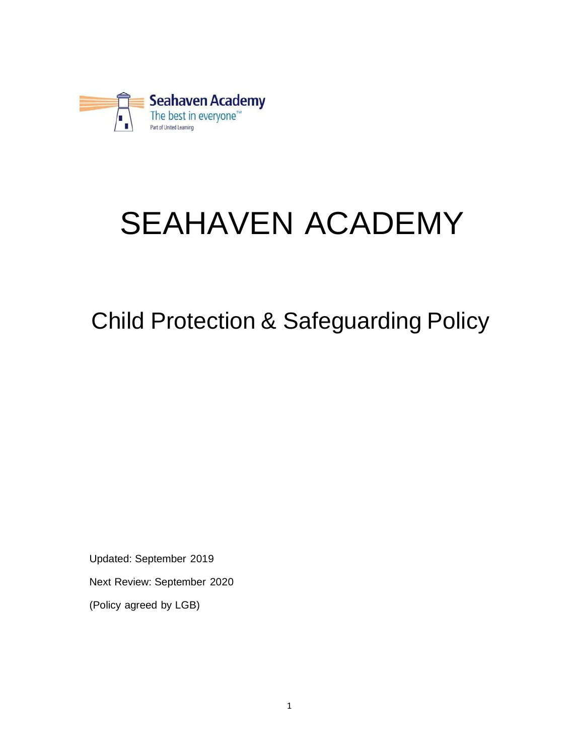

# SEAHAVEN ACADEMY

## Child Protection & Safeguarding Policy

Updated: September 2019

Next Review: September 2020

(Policy agreed by LGB)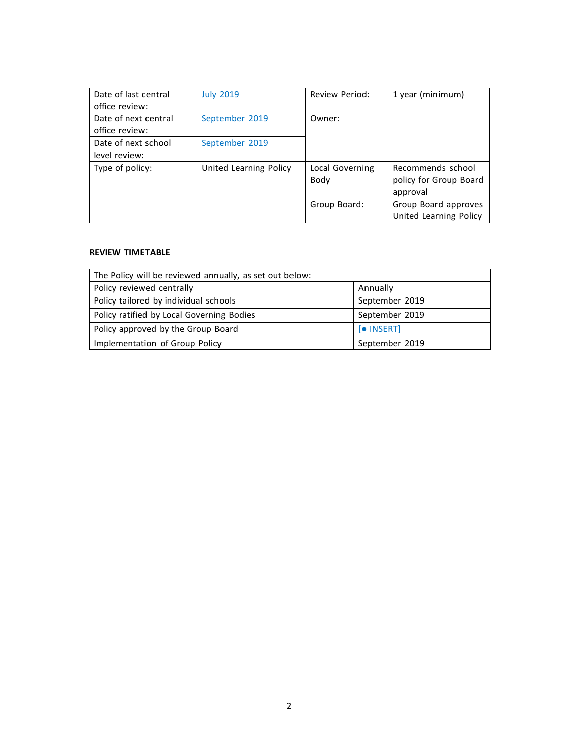| Date of last central | <b>July 2019</b>       | Review Period:  | 1 year (minimum)       |
|----------------------|------------------------|-----------------|------------------------|
| office review:       |                        |                 |                        |
| Date of next central | September 2019         | Owner:          |                        |
| office review:       |                        |                 |                        |
| Date of next school  | September 2019         |                 |                        |
| level review:        |                        |                 |                        |
| Type of policy:      | United Learning Policy | Local Governing | Recommends school      |
|                      |                        | Body            | policy for Group Board |
|                      |                        |                 | approval               |
|                      |                        | Group Board:    | Group Board approves   |
|                      |                        |                 | United Learning Policy |

#### **REVIEW TIMETABLE**

| The Policy will be reviewed annually, as set out below: |                |  |
|---------------------------------------------------------|----------------|--|
| Policy reviewed centrally<br>Annually                   |                |  |
| Policy tailored by individual schools                   | September 2019 |  |
| Policy ratified by Local Governing Bodies               | September 2019 |  |
| Policy approved by the Group Board                      | $[•]$ INSERT]  |  |
| Implementation of Group Policy                          | September 2019 |  |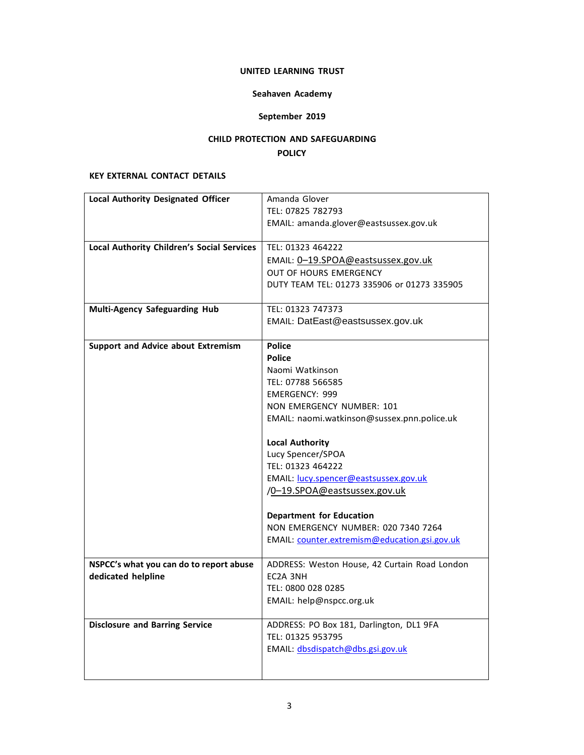#### **UNITED LEARNING TRUST**

#### **Seahaven Academy**

#### **September 2019**

#### **CHILD PROTECTION AND SAFEGUARDING POLICY**

#### **KEY EXTERNAL CONTACT DETAILS**

| <b>Local Authority Designated Officer</b>  | Amanda Glover                                 |
|--------------------------------------------|-----------------------------------------------|
|                                            | TEL: 07825 782793                             |
|                                            | EMAIL: amanda.glover@eastsussex.gov.uk        |
|                                            |                                               |
| Local Authority Children's Social Services | TEL: 01323 464222                             |
|                                            | EMAIL: 0-19.SPOA@eastsussex.gov.uk            |
|                                            | OUT OF HOURS EMERGENCY                        |
|                                            | DUTY TEAM TEL: 01273 335906 or 01273 335905   |
|                                            |                                               |
| <b>Multi-Agency Safeguarding Hub</b>       | TEL: 01323 747373                             |
|                                            | EMAIL: DatEast@eastsussex.gov.uk              |
|                                            |                                               |
| <b>Support and Advice about Extremism</b>  | <b>Police</b>                                 |
|                                            | <b>Police</b>                                 |
|                                            | Naomi Watkinson                               |
|                                            | TEL: 07788 566585                             |
|                                            | <b>EMERGENCY: 999</b>                         |
|                                            | NON EMERGENCY NUMBER: 101                     |
|                                            | EMAIL: naomi.watkinson@sussex.pnn.police.uk   |
|                                            |                                               |
|                                            | <b>Local Authority</b>                        |
|                                            | Lucy Spencer/SPOA                             |
|                                            | TEL: 01323 464222                             |
|                                            | EMAIL: lucy.spencer@eastsussex.gov.uk         |
|                                            | /0-19.SPOA@eastsussex.gov.uk                  |
|                                            |                                               |
|                                            | <b>Department for Education</b>               |
|                                            | NON EMERGENCY NUMBER: 020 7340 7264           |
|                                            | EMAIL: counter.extremism@education.gsi.gov.uk |
|                                            |                                               |
| NSPCC's what you can do to report abuse    | ADDRESS: Weston House, 42 Curtain Road London |
| dedicated helpline                         | EC2A 3NH                                      |
|                                            | TEL: 0800 028 0285                            |
|                                            | EMAIL: help@nspcc.org.uk                      |
|                                            |                                               |
| <b>Disclosure and Barring Service</b>      | ADDRESS: PO Box 181, Darlington, DL1 9FA      |
|                                            | TEL: 01325 953795                             |
|                                            | EMAIL: dbsdispatch@dbs.gsi.gov.uk             |
|                                            |                                               |
|                                            |                                               |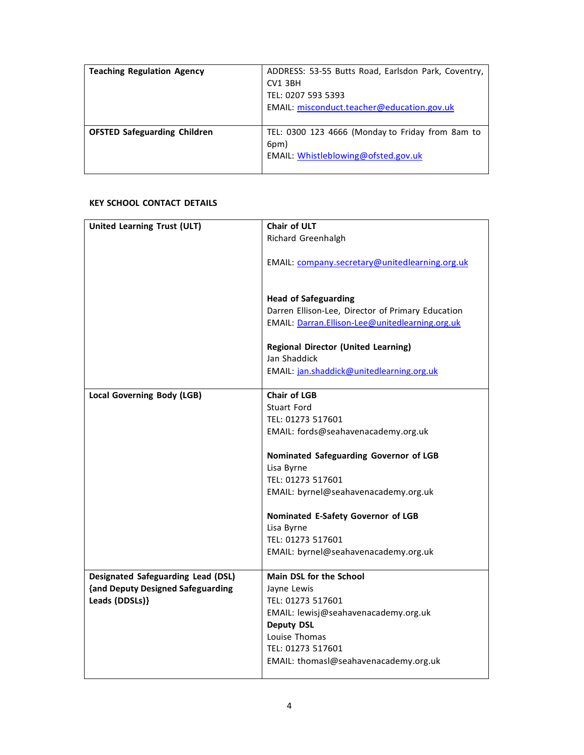| <b>Teaching Regulation Agency</b>   | ADDRESS: 53-55 Butts Road, Earlsdon Park, Coventry,<br>CV1 3BH<br>TEL: 0207 593 5393<br>EMAIL: misconduct.teacher@education.gov.uk |
|-------------------------------------|------------------------------------------------------------------------------------------------------------------------------------|
| <b>OFSTED Safeguarding Children</b> | TEL: 0300 123 4666 (Monday to Friday from 8am to<br>6pm)<br>EMAIL: Whistleblowing@ofsted.gov.uk                                    |

#### **KEY SCHOOL CONTACT DETAILS**

|                                           | Chair of ULT                                      |
|-------------------------------------------|---------------------------------------------------|
| United Learning Trust (ULT)               |                                                   |
|                                           | Richard Greenhalgh                                |
|                                           |                                                   |
|                                           | EMAIL: company.secretary@unitedlearning.org.uk    |
|                                           |                                                   |
|                                           |                                                   |
|                                           | <b>Head of Safeguarding</b>                       |
|                                           | Darren Ellison-Lee, Director of Primary Education |
|                                           | EMAIL: Darran. Ellison-Lee@unitedlearning.org.uk  |
|                                           |                                                   |
|                                           | <b>Regional Director (United Learning)</b>        |
|                                           | Jan Shaddick                                      |
|                                           | EMAIL: jan.shaddick@unitedlearning.org.uk         |
|                                           |                                                   |
| <b>Local Governing Body (LGB)</b>         | <b>Chair of LGB</b>                               |
|                                           | <b>Stuart Ford</b>                                |
|                                           | TEL: 01273 517601                                 |
|                                           | EMAIL: fords@seahavenacademy.org.uk               |
|                                           |                                                   |
|                                           | Nominated Safeguarding Governor of LGB            |
|                                           | Lisa Byrne                                        |
|                                           | TEL: 01273 517601                                 |
|                                           | EMAIL: byrnel@seahavenacademy.org.uk              |
|                                           |                                                   |
|                                           | Nominated E-Safety Governor of LGB                |
|                                           | Lisa Byrne                                        |
|                                           | TEL: 01273 517601                                 |
|                                           | EMAIL: byrnel@seahavenacademy.org.uk              |
|                                           |                                                   |
| <b>Designated Safeguarding Lead (DSL)</b> | Main DSL for the School                           |
| {and Deputy Designed Safeguarding         |                                                   |
|                                           |                                                   |
|                                           | Jayne Lewis                                       |
| Leads (DDSLs)}                            | TEL: 01273 517601                                 |
|                                           | EMAIL: lewisj@seahavenacademy.org.uk              |
|                                           | <b>Deputy DSL</b>                                 |
|                                           | Louise Thomas                                     |
|                                           | TEL: 01273 517601                                 |
|                                           | EMAIL: thomasl@seahavenacademy.org.uk             |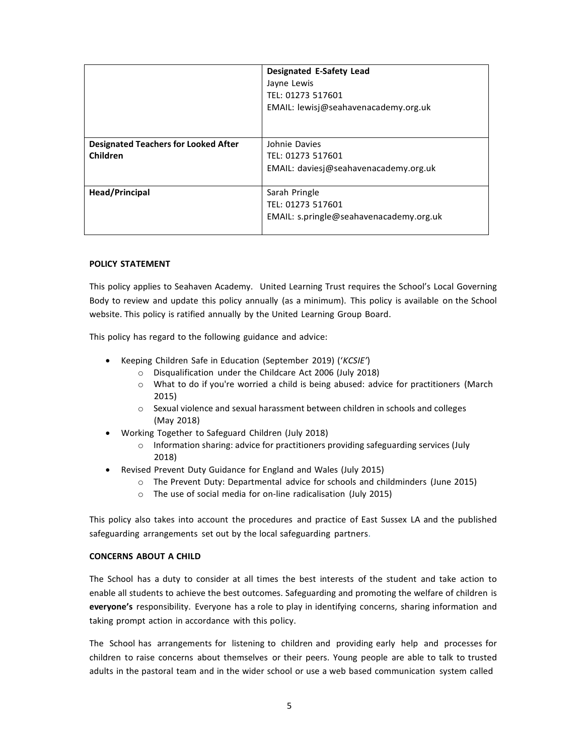|                                                         | <b>Designated E-Safety Lead</b><br>Jayne Lewis<br>TEL: 01273 517601<br>EMAIL: lewisj@seahavenacademy.org.uk |
|---------------------------------------------------------|-------------------------------------------------------------------------------------------------------------|
| <b>Designated Teachers for Looked After</b><br>Children | Johnie Davies<br>TEL: 01273 517601<br>EMAIL: daviesj@seahavenacademy.org.uk                                 |
| <b>Head/Principal</b>                                   | Sarah Pringle<br>TEL: 01273 517601<br>EMAIL: s.pringle@seahavenacademy.org.uk                               |

#### **POLICY STATEMENT**

This policy applies to Seahaven Academy. United Learning Trust requires the School's Local Governing Body to review and update this policy annually (as a minimum). This policy is available on the School website. This policy is ratified annually by the United Learning Group Board.

This policy has regard to the following guidance and advice:

- Keeping Children Safe in Education (September 2019) ('*KCSIE'*)
	- o Disqualification under the Childcare Act 2006 (July 2018)
	- o What to do if you're worried a child is being abused: advice for practitioners (March 2015)
	- o Sexual violence and sexual harassment between children in schools and colleges (May 2018)
- Working Together to Safeguard Children (July 2018)
	- $\circ$  Information sharing: advice for practitioners providing safeguarding services (July 2018)
- Revised Prevent Duty Guidance for England and Wales (July 2015)
	- o The Prevent Duty: Departmental advice for schools and childminders (June 2015)
	- o The use of social media for on‐line radicalisation (July 2015)

This policy also takes into account the procedures and practice of East Sussex LA and the published safeguarding arrangements set out by the local safeguarding partners.

#### **CONCERNS ABOUT A CHILD**

The School has a duty to consider at all times the best interests of the student and take action to enable all students to achieve the best outcomes. Safeguarding and promoting the welfare of children is **everyone's** responsibility. Everyone has a role to play in identifying concerns, sharing information and taking prompt action in accordance with this policy.

The School has arrangements for listening to children and providing early help and processes for children to raise concerns about themselves or their peers. Young people are able to talk to trusted adults in the pastoral team and in the wider school or use a web based communication system called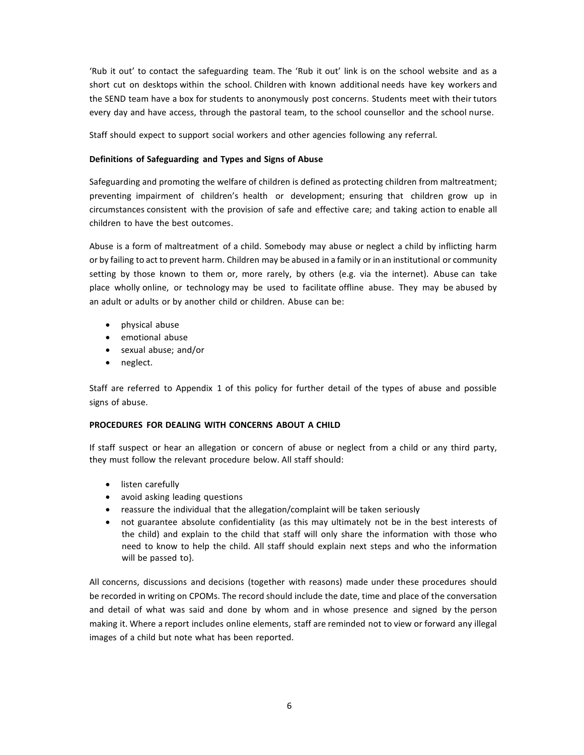'Rub it out' to contact the safeguarding team. The 'Rub it out' link is on the school website and as a short cut on desktops within the school. Children with known additional needs have key workers and the SEND team have a box for students to anonymously post concerns. Students meet with their tutors every day and have access, through the pastoral team, to the school counsellor and the school nurse.

Staff should expect to support social workers and other agencies following any referral.

#### **Definitions of Safeguarding and Types and Signs of Abuse**

Safeguarding and promoting the welfare of children is defined as protecting children from maltreatment; preventing impairment of children's health or development; ensuring that children grow up in circumstances consistent with the provision of safe and effective care; and taking action to enable all children to have the best outcomes.

Abuse is a form of maltreatment of a child. Somebody may abuse or neglect a child by inflicting harm or by failing to act to prevent harm. Children may be abused in a family or in an institutional or community setting by those known to them or, more rarely, by others (e.g. via the internet). Abuse can take place wholly online, or technology may be used to facilitate offline abuse. They may be abused by an adult or adults or by another child or children. Abuse can be:

- physical abuse
- emotional abuse
- sexual abuse; and/or
- neglect.

Staff are referred to Appendix 1 of this policy for further detail of the types of abuse and possible signs of abuse.

#### **PROCEDURES FOR DEALING WITH CONCERNS ABOUT A CHILD**

If staff suspect or hear an allegation or concern of abuse or neglect from a child or any third party, they must follow the relevant procedure below. All staff should:

- listen carefully
- avoid asking leading questions
- reassure the individual that the allegation/complaint will be taken seriously
- not guarantee absolute confidentiality (as this may ultimately not be in the best interests of the child) and explain to the child that staff will only share the information with those who need to know to help the child. All staff should explain next steps and who the information will be passed to}.

All concerns, discussions and decisions (together with reasons) made under these procedures should be recorded in writing on CPOMs. The record should include the date, time and place of the conversation and detail of what was said and done by whom and in whose presence and signed by the person making it. Where a report includes online elements, staff are reminded not to view or forward any illegal images of a child but note what has been reported.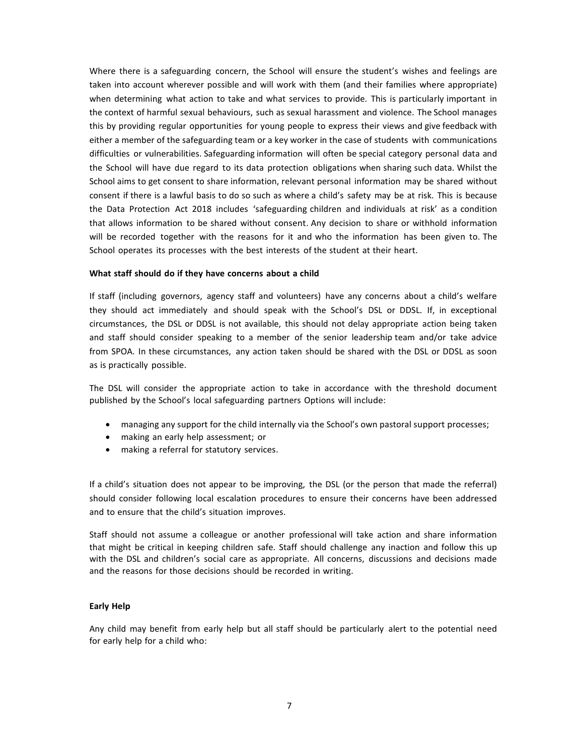Where there is a safeguarding concern, the School will ensure the student's wishes and feelings are taken into account wherever possible and will work with them (and their families where appropriate) when determining what action to take and what services to provide. This is particularly important in the context of harmful sexual behaviours, such as sexual harassment and violence. The School manages this by providing regular opportunities for young people to express their views and give feedback with either a member of the safeguarding team or a key worker in the case of students with communications difficulties or vulnerabilities. Safeguarding information will often be special category personal data and the School will have due regard to its data protection obligations when sharing such data. Whilst the School aims to get consent to share information, relevant personal information may be shared without consent if there is a lawful basis to do so such as where a child's safety may be at risk. This is because the Data Protection Act 2018 includes 'safeguarding children and individuals at risk' as a condition that allows information to be shared without consent. Any decision to share or withhold information will be recorded together with the reasons for it and who the information has been given to. The School operates its processes with the best interests of the student at their heart.

#### **What staff should do if they have concerns about a child**

If staff (including governors, agency staff and volunteers) have any concerns about a child's welfare they should act immediately and should speak with the School's DSL or DDSL. If, in exceptional circumstances, the DSL or DDSL is not available, this should not delay appropriate action being taken and staff should consider speaking to a member of the senior leadership team and/or take advice from SPOA. In these circumstances, any action taken should be shared with the DSL or DDSL as soon as is practically possible.

The DSL will consider the appropriate action to take in accordance with the threshold document published by the School's local safeguarding partners Options will include:

- managing any support for the child internally via the School's own pastoral support processes;
- making an early help assessment; or
- making a referral for statutory services.

If a child's situation does not appear to be improving, the DSL (or the person that made the referral) should consider following local escalation procedures to ensure their concerns have been addressed and to ensure that the child's situation improves.

Staff should not assume a colleague or another professional will take action and share information that might be critical in keeping children safe. Staff should challenge any inaction and follow this up with the DSL and children's social care as appropriate. All concerns, discussions and decisions made and the reasons for those decisions should be recorded in writing.

#### **Early Help**

Any child may benefit from early help but all staff should be particularly alert to the potential need for early help for a child who: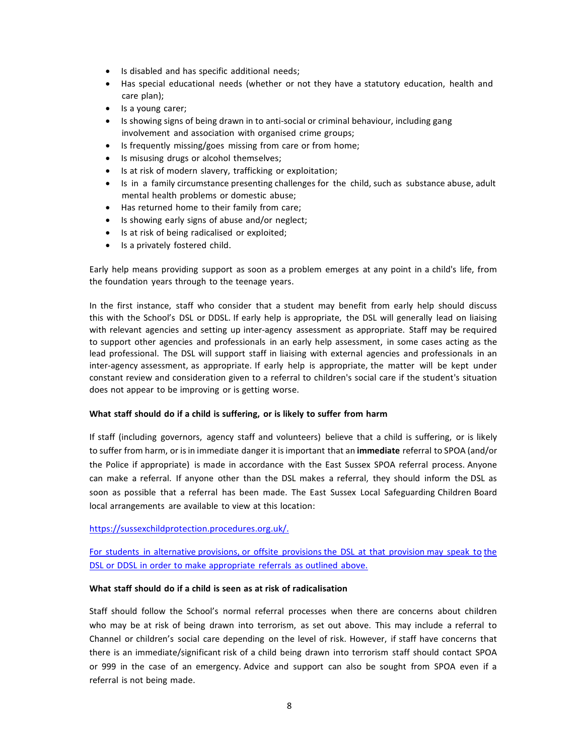- Is disabled and has specific additional needs;
- Has special educational needs (whether or not they have a statutory education, health and care plan);
- Is a young carer;
- Is showing signs of being drawn in to anti-social or criminal behaviour, including gang involvement and association with organised crime groups;
- Is frequently missing/goes missing from care or from home;
- Is misusing drugs or alcohol themselves;
- Is at risk of modern slavery, trafficking or exploitation;
- Is in a family circumstance presenting challenges for the child, such as substance abuse, adult mental health problems or domestic abuse;
- Has returned home to their family from care;
- Is showing early signs of abuse and/or neglect;
- Is at risk of being radicalised or exploited;
- Is a privately fostered child.

Early help means providing support as soon as a problem emerges at any point in a child's life, from the foundation years through to the teenage years.

In the first instance, staff who consider that a student may benefit from early help should discuss this with the School's DSL or DDSL. If early help is appropriate, the DSL will generally lead on liaising with relevant agencies and setting up inter-agency assessment as appropriate. Staff may be required to support other agencies and professionals in an early help assessment, in some cases acting as the lead professional. The DSL will support staff in liaising with external agencies and professionals in an inter-agency assessment, as appropriate. If early help is appropriate, the matter will be kept under constant review and consideration given to a referral to children's social care if the student's situation does not appear to be improving or is getting worse.

#### **What staff should do if a child is suffering, or is likely to suffer from harm**

If staff (including governors, agency staff and volunteers) believe that a child is suffering, or is likely to suffer from harm, or is in immediate danger it isimportant that an **immediate** referral to SPOA (and/or the Police if appropriate) is made in accordance with the East Sussex SPOA referral process. Anyone can make a referral. If anyone other than the DSL makes a referral, they should inform the DSL as soon as possible that a referral has been made. The East Sussex Local Safeguarding Children Board local arrangements are available to view at this location:

https://sussexchildprotection.procedures.org.uk/.

For students in alternative provisions, or offsite provisions the DSL at that provision may speak to the DSL or DDSL in order to make appropriate referrals as outlined above.

#### **What staff should do if a child is seen as at risk of radicalisation**

Staff should follow the School's normal referral processes when there are concerns about children who may be at risk of being drawn into terrorism, as set out above. This may include a referral to Channel or children's social care depending on the level of risk. However, if staff have concerns that there is an immediate/significant risk of a child being drawn into terrorism staff should contact SPOA or 999 in the case of an emergency. Advice and support can also be sought from SPOA even if a referral is not being made.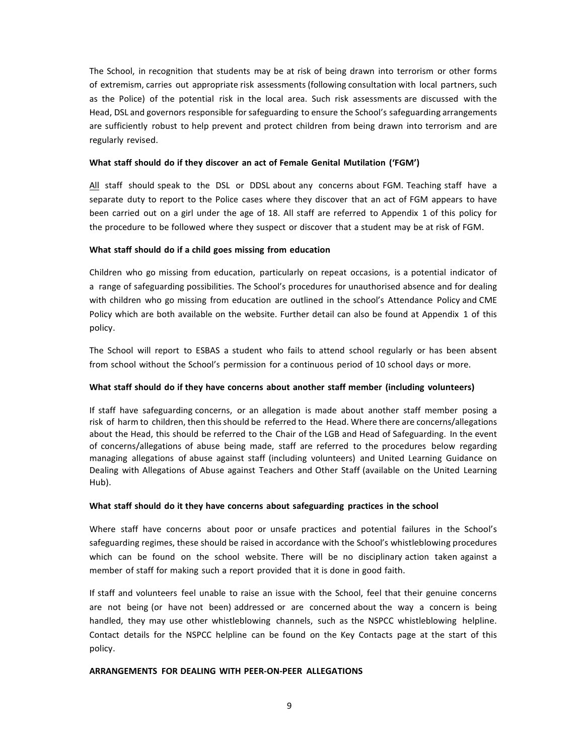The School, in recognition that students may be at risk of being drawn into terrorism or other forms of extremism, carries out appropriate risk assessments (following consultation with local partners, such as the Police) of the potential risk in the local area. Such risk assessments are discussed with the Head, DSL and governors responsible forsafeguarding to ensure the School's safeguarding arrangements are sufficiently robust to help prevent and protect children from being drawn into terrorism and are regularly revised.

#### **What staff should do if they discover an act of Female Genital Mutilation ('FGM')**

All staff should speak to the DSL or DDSL about any concerns about FGM. Teaching staff have a separate duty to report to the Police cases where they discover that an act of FGM appears to have been carried out on a girl under the age of 18. All staff are referred to Appendix 1 of this policy for the procedure to be followed where they suspect or discover that a student may be at risk of FGM.

#### **What staff should do if a child goes missing from education**

Children who go missing from education, particularly on repeat occasions, is a potential indicator of a range of safeguarding possibilities. The School's procedures for unauthorised absence and for dealing with children who go missing from education are outlined in the school's Attendance Policy and CME Policy which are both available on the website. Further detail can also be found at Appendix 1 of this policy.

The School will report to ESBAS a student who fails to attend school regularly or has been absent from school without the School's permission for a continuous period of 10 school days or more.

#### **What staff should do if they have concerns about another staff member (including volunteers)**

If staff have safeguarding concerns, or an allegation is made about another staff member posing a risk of harm to children, then this should be referred to the Head. Where there are concerns/allegations about the Head, this should be referred to the Chair of the LGB and Head of Safeguarding. In the event of concerns/allegations of abuse being made, staff are referred to the procedures below regarding managing allegations of abuse against staff (including volunteers) and United Learning Guidance on Dealing with Allegations of Abuse against Teachers and Other Staff (available on the United Learning Hub).

#### **What staff should do it they have concerns about safeguarding practices in the school**

Where staff have concerns about poor or unsafe practices and potential failures in the School's safeguarding regimes, these should be raised in accordance with the School's whistleblowing procedures which can be found on the school website. There will be no disciplinary action taken against a member of staff for making such a report provided that it is done in good faith.

If staff and volunteers feel unable to raise an issue with the School, feel that their genuine concerns are not being (or have not been) addressed or are concerned about the way a concern is being handled, they may use other whistleblowing channels, such as the NSPCC whistleblowing helpline. Contact details for the NSPCC helpline can be found on the Key Contacts page at the start of this policy.

#### **ARRANGEMENTS FOR DEALING WITH PEER‐ON‐PEER ALLEGATIONS**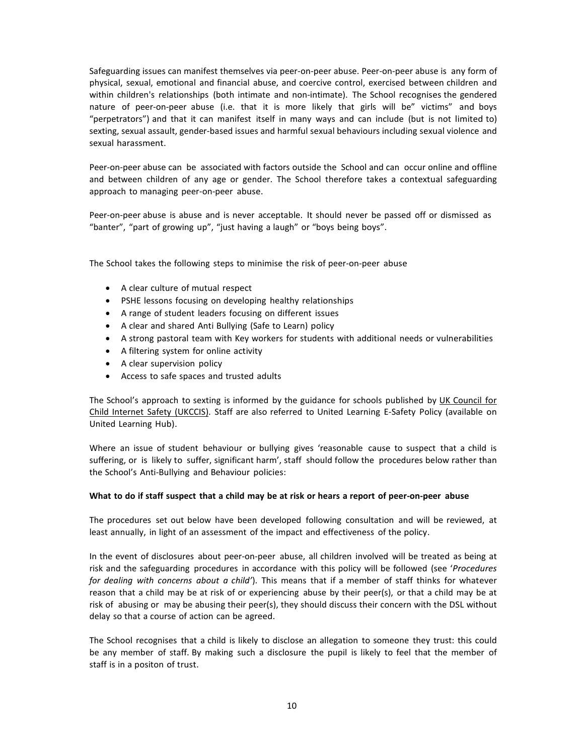Safeguarding issues can manifest themselves via peer‐on‐peer abuse. Peer‐on‐peer abuse is any form of physical, sexual, emotional and financial abuse, and coercive control, exercised between children and within children's relationships (both intimate and non-intimate). The School recognises the gendered nature of peer-on-peer abuse (i.e. that it is more likely that girls will be" victims" and boys "perpetrators") and that it can manifest itself in many ways and can include (but is not limited to) sexting, sexual assault, gender‐based issues and harmful sexual behaviours including sexual violence and sexual harassment.

Peer-on-peer abuse can be associated with factors outside the School and can occur online and offline and between children of any age or gender. The School therefore takes a contextual safeguarding approach to managing peer‐on‐peer abuse.

Peer-on-peer abuse is abuse and is never acceptable. It should never be passed off or dismissed as "banter", "part of growing up", "just having a laugh" or "boys being boys".

The School takes the following steps to minimise the risk of peer‐on‐peer abuse

- A clear culture of mutual respect
- PSHE lessons focusing on developing healthy relationships
- A range of student leaders focusing on different issues
- A clear and shared Anti Bullying (Safe to Learn) policy
- A strong pastoral team with Key workers for students with additional needs or vulnerabilities
- A filtering system for online activity
- A clear supervision policy
- Access to safe spaces and trusted adults

The School's approach to sexting is informed by the guidance for schools published by UK Council for Child Internet Safety (UKCCIS). Staff are also referred to United Learning E‐Safety Policy (available on United Learning Hub).

Where an issue of student behaviour or bullying gives 'reasonable cause to suspect that a child is suffering, or is likely to suffer, significant harm', staff should follow the procedures below rather than the School's Anti‐Bullying and Behaviour policies:

#### What to do if staff suspect that a child may be at risk or hears a report of peer-on-peer abuse

The procedures set out below have been developed following consultation and will be reviewed, at least annually, in light of an assessment of the impact and effectiveness of the policy.

In the event of disclosures about peer‐on‐peer abuse, all children involved will be treated as being at risk and the safeguarding procedures in accordance with this policy will be followed (see '*Procedures for dealing with concerns about a child'*). This means that if a member of staff thinks for whatever reason that a child may be at risk of or experiencing abuse by their peer(s), or that a child may be at risk of abusing or may be abusing their peer(s), they should discuss their concern with the DSL without delay so that a course of action can be agreed.

The School recognises that a child is likely to disclose an allegation to someone they trust: this could be any member of staff. By making such a disclosure the pupil is likely to feel that the member of staff is in a positon of trust.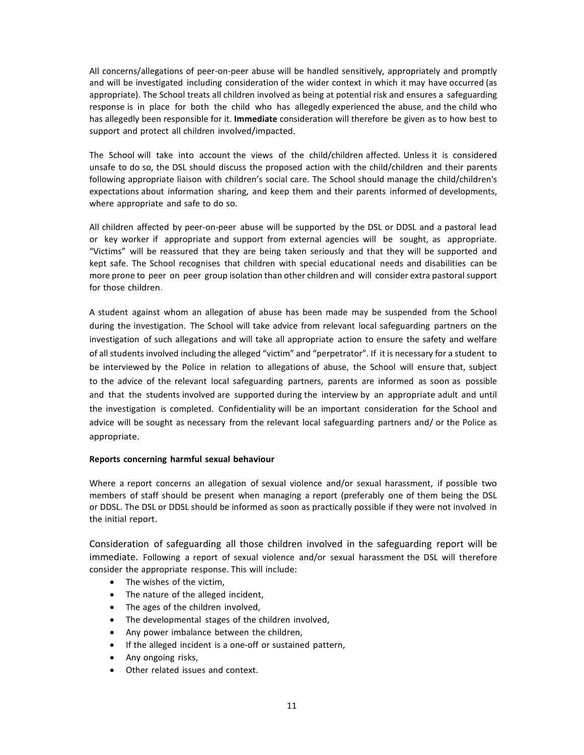All concerns/allegations of peer‐on‐peer abuse will be handled sensitively, appropriately and promptly and will be investigated including consideration of the wider context in which it may have occurred (as appropriate). The School treats all children involved as being at potential risk and ensures a safeguarding response is in place for both the child who has allegedly experienced the abuse, and the child who has allegedly been responsible for it. **Immediate** consideration will therefore be given as to how best to support and protect all children involved/impacted.

The School will take into account the views of the child/children affected. Unless it is considered unsafe to do so, the DSL should discuss the proposed action with the child/children and their parents following appropriate liaison with children's social care. The School should manage the child/children's expectations about information sharing, and keep them and their parents informed of developments, where appropriate and safe to do so.

All children affected by peer‐on‐peer abuse will be supported by the DSL or DDSL and a pastoral lead or key worker if appropriate and support from external agencies will be sought, as appropriate. "Victims" will be reassured that they are being taken seriously and that they will be supported and kept safe. The School recognises that children with special educational needs and disabilities can be more prone to peer on peer group isolation than other children and will consider extra pastoral support for those children.

A student against whom an allegation of abuse has been made may be suspended from the School during the investigation. The School will take advice from relevant local safeguarding partners on the investigation of such allegations and will take all appropriate action to ensure the safety and welfare of all students involved including the alleged "victim" and "perpetrator". If it is necessary for a student to be interviewed by the Police in relation to allegations of abuse, the School will ensure that, subject to the advice of the relevant local safeguarding partners, parents are informed as soon as possible and that the students involved are supported during the interview by an appropriate adult and until the investigation is completed. Confidentiality will be an important consideration for the School and advice will be sought as necessary from the relevant local safeguarding partners and/ or the Police as appropriate.

#### **Reports concerning harmful sexual behaviour**

Where a report concerns an allegation of sexual violence and/or sexual harassment, if possible two members of staff should be present when managing a report (preferably one of them being the DSL or DDSL. The DSL or DDSL should be informed as soon as practically possible if they were not involved in the initial report.

Consideration of safeguarding all those children involved in the safeguarding report will be immediate. Following a report of sexual violence and/or sexual harassment the DSL will therefore consider the appropriate response. This will include:

- The wishes of the victim,
- The nature of the alleged incident,
- The ages of the children involved,
- The developmental stages of the children involved,
- Any power imbalance between the children,
- If the alleged incident is a one‐off or sustained pattern,
- Any ongoing risks,
- Other related issues and context.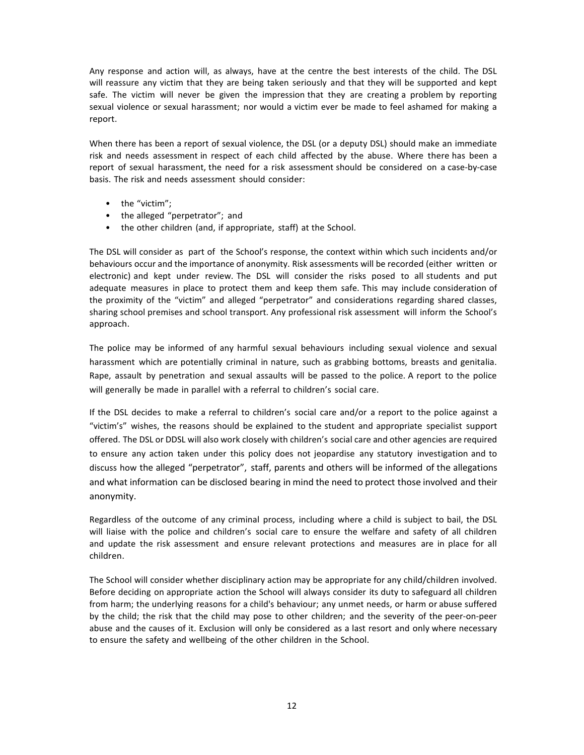Any response and action will, as always, have at the centre the best interests of the child. The DSL will reassure any victim that they are being taken seriously and that they will be supported and kept safe. The victim will never be given the impression that they are creating a problem by reporting sexual violence or sexual harassment; nor would a victim ever be made to feel ashamed for making a report.

When there has been a report of sexual violence, the DSL (or a deputy DSL) should make an immediate risk and needs assessment in respect of each child affected by the abuse. Where there has been a report of sexual harassment, the need for a risk assessment should be considered on a case‐by‐case basis. The risk and needs assessment should consider:

- the "victim";
- the alleged "perpetrator"; and
- the other children (and, if appropriate, staff) at the School.

The DSL will consider as part of the School's response, the context within which such incidents and/or behaviours occur and the importance of anonymity. Risk assessments will be recorded (either written or electronic) and kept under review. The DSL will consider the risks posed to all students and put adequate measures in place to protect them and keep them safe. This may include consideration of the proximity of the "victim" and alleged "perpetrator" and considerations regarding shared classes, sharing school premises and school transport. Any professional risk assessment will inform the School's approach.

The police may be informed of any harmful sexual behaviours including sexual violence and sexual harassment which are potentially criminal in nature, such as grabbing bottoms, breasts and genitalia. Rape, assault by penetration and sexual assaults will be passed to the police. A report to the police will generally be made in parallel with a referral to children's social care.

If the DSL decides to make a referral to children's social care and/or a report to the police against a "victim's" wishes, the reasons should be explained to the student and appropriate specialist support offered. The DSL or DDSL will also work closely with children's social care and other agencies are required to ensure any action taken under this policy does not jeopardise any statutory investigation and to discuss how the alleged "perpetrator", staff, parents and others will be informed of the allegations and what information can be disclosed bearing in mind the need to protect those involved and their anonymity.

Regardless of the outcome of any criminal process, including where a child is subject to bail, the DSL will liaise with the police and children's social care to ensure the welfare and safety of all children and update the risk assessment and ensure relevant protections and measures are in place for all children.

The School will consider whether disciplinary action may be appropriate for any child/children involved. Before deciding on appropriate action the School will always consider its duty to safeguard all children from harm; the underlying reasons for a child's behaviour; any unmet needs, or harm or abuse suffered by the child; the risk that the child may pose to other children; and the severity of the peer‐on‐peer abuse and the causes of it. Exclusion will only be considered as a last resort and only where necessary to ensure the safety and wellbeing of the other children in the School.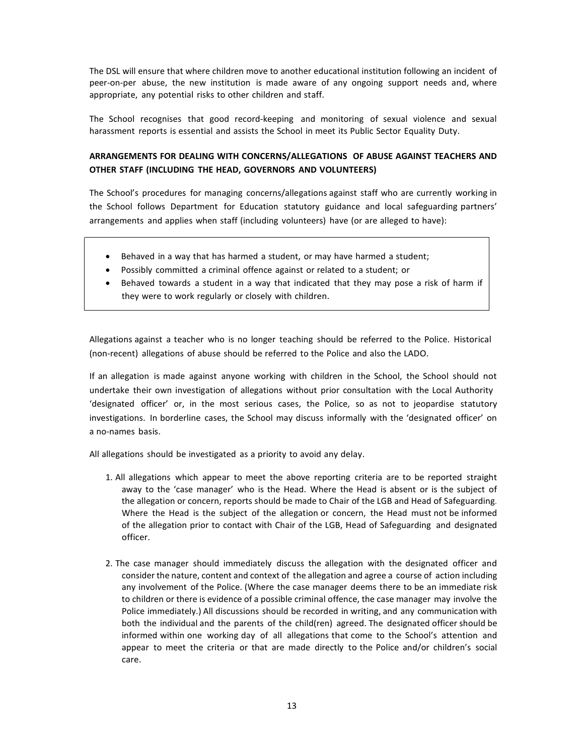The DSL will ensure that where children move to another educational institution following an incident of peer-on-per abuse, the new institution is made aware of any ongoing support needs and, where appropriate, any potential risks to other children and staff.

The School recognises that good record‐keeping and monitoring of sexual violence and sexual harassment reports is essential and assists the School in meet its Public Sector Equality Duty.

#### **ARRANGEMENTS FOR DEALING WITH CONCERNS/ALLEGATIONS OF ABUSE AGAINST TEACHERS AND OTHER STAFF (INCLUDING THE HEAD, GOVERNORS AND VOLUNTEERS)**

The School's procedures for managing concerns/allegations against staff who are currently working in the School follows Department for Education statutory guidance and local safeguarding partners' arrangements and applies when staff (including volunteers) have (or are alleged to have):

- Behaved in a way that has harmed a student, or may have harmed a student;
- Possibly committed a criminal offence against or related to a student; or
- Behaved towards a student in a way that indicated that they may pose a risk of harm if they were to work regularly or closely with children.

Allegations against a teacher who is no longer teaching should be referred to the Police. Historical (non‐recent) allegations of abuse should be referred to the Police and also the LADO.

If an allegation is made against anyone working with children in the School, the School should not undertake their own investigation of allegations without prior consultation with the Local Authority 'designated officer' or, in the most serious cases, the Police, so as not to jeopardise statutory investigations. In borderline cases, the School may discuss informally with the 'designated officer' on a no‐names basis.

All allegations should be investigated as a priority to avoid any delay.

- 1. All allegations which appear to meet the above reporting criteria are to be reported straight away to the 'case manager' who is the Head. Where the Head is absent or is the subject of the allegation or concern, reports should be made to Chair of the LGB and Head of Safeguarding. Where the Head is the subject of the allegation or concern, the Head must not be informed of the allegation prior to contact with Chair of the LGB, Head of Safeguarding and designated officer.
- 2. The case manager should immediately discuss the allegation with the designated officer and consider the nature, content and context of the allegation and agree a course of action including any involvement of the Police. (Where the case manager deems there to be an immediate risk to children or there is evidence of a possible criminal offence, the case manager may involve the Police immediately.) All discussions should be recorded in writing, and any communication with both the individual and the parents of the child(ren) agreed. The designated officer should be informed within one working day of all allegations that come to the School's attention and appear to meet the criteria or that are made directly to the Police and/or children's social care.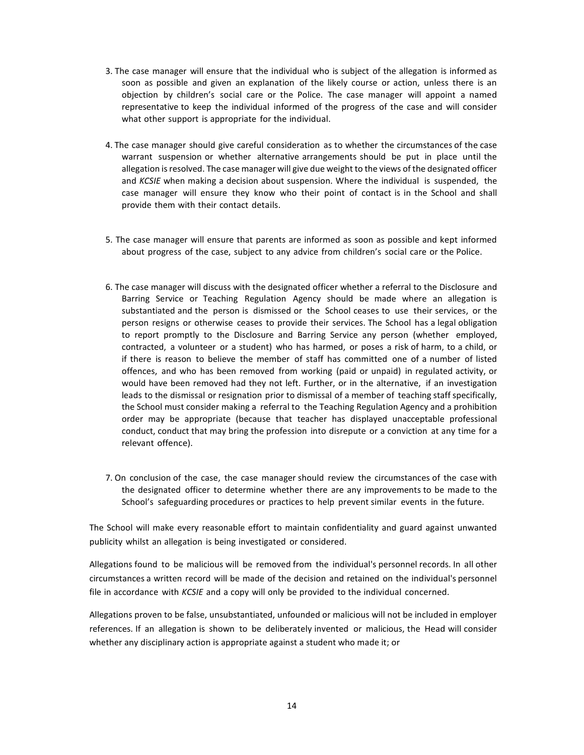- 3. The case manager will ensure that the individual who is subject of the allegation is informed as soon as possible and given an explanation of the likely course or action, unless there is an objection by children's social care or the Police. The case manager will appoint a named representative to keep the individual informed of the progress of the case and will consider what other support is appropriate for the individual.
- 4. The case manager should give careful consideration as to whether the circumstances of the case warrant suspension or whether alternative arrangements should be put in place until the allegation is resolved. The case manager will give due weight to the views of the designated officer and *KCSIE* when making a decision about suspension. Where the individual is suspended, the case manager will ensure they know who their point of contact is in the School and shall provide them with their contact details.
- 5. The case manager will ensure that parents are informed as soon as possible and kept informed about progress of the case, subject to any advice from children's social care or the Police.
- 6. The case manager will discuss with the designated officer whether a referral to the Disclosure and Barring Service or Teaching Regulation Agency should be made where an allegation is substantiated and the person is dismissed or the School ceases to use their services, or the person resigns or otherwise ceases to provide their services. The School has a legal obligation to report promptly to the Disclosure and Barring Service any person (whether employed, contracted, a volunteer or a student) who has harmed, or poses a risk of harm, to a child, or if there is reason to believe the member of staff has committed one of a number of listed offences, and who has been removed from working (paid or unpaid) in regulated activity, or would have been removed had they not left. Further, or in the alternative, if an investigation leads to the dismissal or resignation prior to dismissal of a member of teaching staff specifically, the School must consider making a referral to the Teaching Regulation Agency and a prohibition order may be appropriate (because that teacher has displayed unacceptable professional conduct, conduct that may bring the profession into disrepute or a conviction at any time for a relevant offence).
- 7. On conclusion of the case, the case manager should review the circumstances of the case with the designated officer to determine whether there are any improvements to be made to the School's safeguarding procedures or practices to help prevent similar events in the future.

The School will make every reasonable effort to maintain confidentiality and guard against unwanted publicity whilst an allegation is being investigated or considered.

Allegations found to be malicious will be removed from the individual's personnel records. In all other circumstances a written record will be made of the decision and retained on the individual's personnel file in accordance with *KCSIE* and a copy will only be provided to the individual concerned.

Allegations proven to be false, unsubstantiated, unfounded or malicious will not be included in employer references. If an allegation is shown to be deliberately invented or malicious, the Head will consider whether any disciplinary action is appropriate against a student who made it; or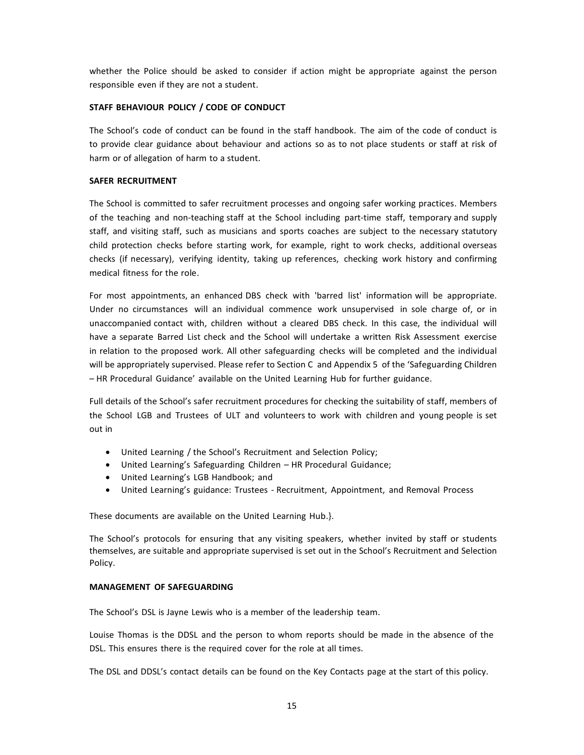whether the Police should be asked to consider if action might be appropriate against the person responsible even if they are not a student.

#### **STAFF BEHAVIOUR POLICY / CODE OF CONDUCT**

The School's code of conduct can be found in the staff handbook. The aim of the code of conduct is to provide clear guidance about behaviour and actions so as to not place students or staff at risk of harm or of allegation of harm to a student.

#### **SAFER RECRUITMENT**

The School is committed to safer recruitment processes and ongoing safer working practices. Members of the teaching and non‐teaching staff at the School including part‐time staff, temporary and supply staff, and visiting staff, such as musicians and sports coaches are subject to the necessary statutory child protection checks before starting work, for example, right to work checks, additional overseas checks (if necessary), verifying identity, taking up references, checking work history and confirming medical fitness for the role.

For most appointments, an enhanced DBS check with 'barred list' information will be appropriate. Under no circumstances will an individual commence work unsupervised in sole charge of, or in unaccompanied contact with, children without a cleared DBS check. In this case, the individual will have a separate Barred List check and the School will undertake a written Risk Assessment exercise in relation to the proposed work. All other safeguarding checks will be completed and the individual will be appropriately supervised. Please refer to Section C and Appendix 5 of the 'Safeguarding Children – HR Procedural Guidance' available on the United Learning Hub for further guidance.

Full details of the School's safer recruitment procedures for checking the suitability of staff, members of the School LGB and Trustees of ULT and volunteers to work with children and young people is set out in

- United Learning / the School's Recruitment and Selection Policy;
- United Learning's Safeguarding Children HR Procedural Guidance;
- United Learning's LGB Handbook; and
- United Learning's guidance: Trustees ‐ Recruitment, Appointment, and Removal Process

These documents are available on the United Learning Hub.}.

The School's protocols for ensuring that any visiting speakers, whether invited by staff or students themselves, are suitable and appropriate supervised is set out in the School's Recruitment and Selection Policy.

#### **MANAGEMENT OF SAFEGUARDING**

The School's DSL is Jayne Lewis who is a member of the leadership team.

Louise Thomas is the DDSL and the person to whom reports should be made in the absence of the DSL. This ensures there is the required cover for the role at all times.

The DSL and DDSL's contact details can be found on the Key Contacts page at the start of this policy.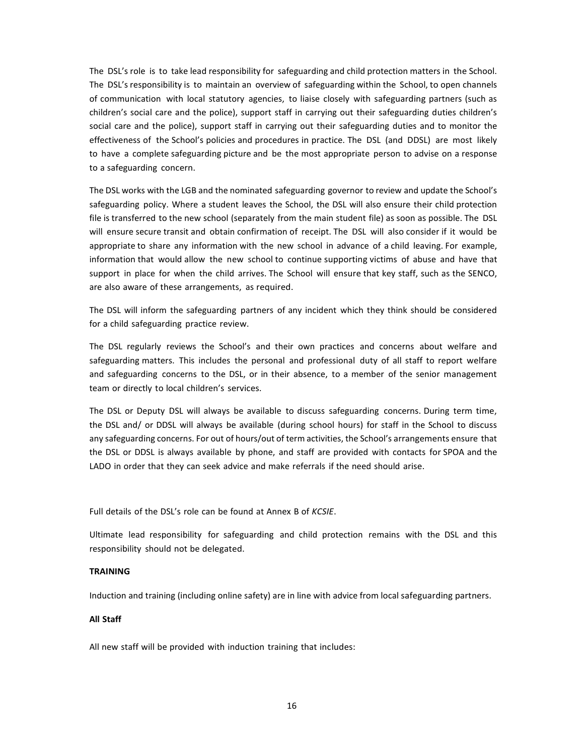The DSL's role is to take lead responsibility for safeguarding and child protection matters in the School. The DSL's responsibility is to maintain an overview of safeguarding within the School, to open channels of communication with local statutory agencies, to liaise closely with safeguarding partners (such as children's social care and the police), support staff in carrying out their safeguarding duties children's social care and the police), support staff in carrying out their safeguarding duties and to monitor the effectiveness of the School's policies and procedures in practice. The DSL (and DDSL) are most likely to have a complete safeguarding picture and be the most appropriate person to advise on a response to a safeguarding concern.

The DSL works with the LGB and the nominated safeguarding governor to review and update the School's safeguarding policy. Where a student leaves the School, the DSL will also ensure their child protection file is transferred to the new school (separately from the main student file) as soon as possible. The DSL will ensure secure transit and obtain confirmation of receipt. The DSL will also consider if it would be appropriate to share any information with the new school in advance of a child leaving. For example, information that would allow the new school to continue supporting victims of abuse and have that support in place for when the child arrives. The School will ensure that key staff, such as the SENCO, are also aware of these arrangements, as required.

The DSL will inform the safeguarding partners of any incident which they think should be considered for a child safeguarding practice review.

The DSL regularly reviews the School's and their own practices and concerns about welfare and safeguarding matters. This includes the personal and professional duty of all staff to report welfare and safeguarding concerns to the DSL, or in their absence, to a member of the senior management team or directly to local children's services.

The DSL or Deputy DSL will always be available to discuss safeguarding concerns. During term time, the DSL and/ or DDSL will always be available (during school hours) for staff in the School to discuss any safeguarding concerns. For out of hours/out of term activities, the School's arrangements ensure that the DSL or DDSL is always available by phone, and staff are provided with contacts for SPOA and the LADO in order that they can seek advice and make referrals if the need should arise.

Full details of the DSL's role can be found at Annex B of *KCSIE*.

Ultimate lead responsibility for safeguarding and child protection remains with the DSL and this responsibility should not be delegated.

#### **TRAINING**

Induction and training (including online safety) are in line with advice from local safeguarding partners.

#### **All Staff**

All new staff will be provided with induction training that includes: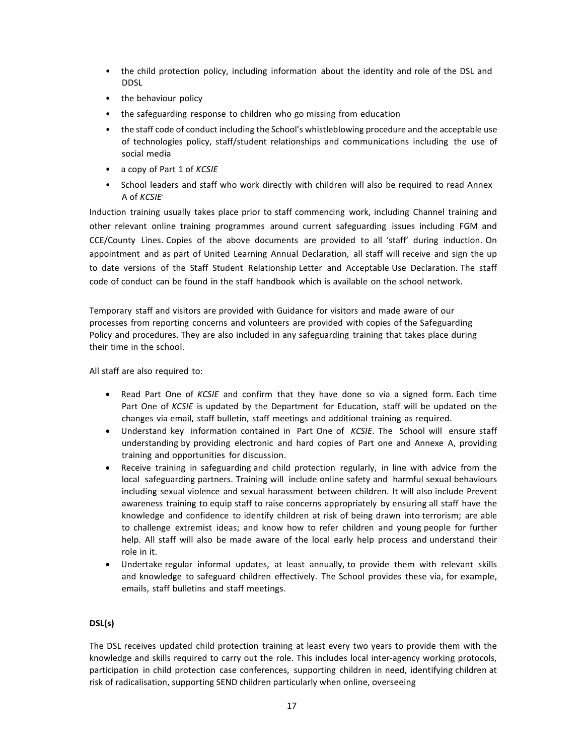- the child protection policy, including information about the identity and role of the DSL and DDSL
- the behaviour policy
- the safeguarding response to children who go missing from education
- the staff code of conduct including the School's whistleblowing procedure and the acceptable use of technologies policy, staff/student relationships and communications including the use of social media
- a copy of Part 1 of *KCSIE*
- School leaders and staff who work directly with children will also be required to read Annex A of *KCSIE.*

Induction training usually takes place prior to staff commencing work, including Channel training and other relevant online training programmes around current safeguarding issues including FGM and CCE/County Lines. Copies of the above documents are provided to all 'staff' during induction. On appointment and as part of United Learning Annual Declaration, all staff will receive and sign the up to date versions of the Staff Student Relationship Letter and Acceptable Use Declaration. The staff code of conduct can be found in the staff handbook which is available on the school network.

Temporary staff and visitors are provided with Guidance for visitors and made aware of our processes from reporting concerns and volunteers are provided with copies of the Safeguarding Policy and procedures. They are also included in any safeguarding training that takes place during their time in the school.

All staff are also required to:

- Read Part One of *KCSIE* and confirm that they have done so via a signed form. Each time Part One of *KCSIE* is updated by the Department for Education, staff will be updated on the changes via email, staff bulletin, staff meetings and additional training as required.
- Understand key information contained in Part One of *KCSIE*. The School will ensure staff understanding by providing electronic and hard copies of Part one and Annexe A, providing training and opportunities for discussion.
- Receive training in safeguarding and child protection regularly, in line with advice from the local safeguarding partners. Training will include online safety and harmful sexual behaviours including sexual violence and sexual harassment between children. It will also include Prevent awareness training to equip staff to raise concerns appropriately by ensuring all staff have the knowledge and confidence to identify children at risk of being drawn into terrorism; are able to challenge extremist ideas; and know how to refer children and young people for further help. All staff will also be made aware of the local early help process and understand their role in it.
- Undertake regular informal updates, at least annually, to provide them with relevant skills and knowledge to safeguard children effectively. The School provides these via, for example, emails, staff bulletins and staff meetings.

#### **DSL(s)**

The DSL receives updated child protection training at least every two years to provide them with the knowledge and skills required to carry out the role. This includes local inter‐agency working protocols, participation in child protection case conferences, supporting children in need, identifying children at risk of radicalisation, supporting SEND children particularly when online, overseeing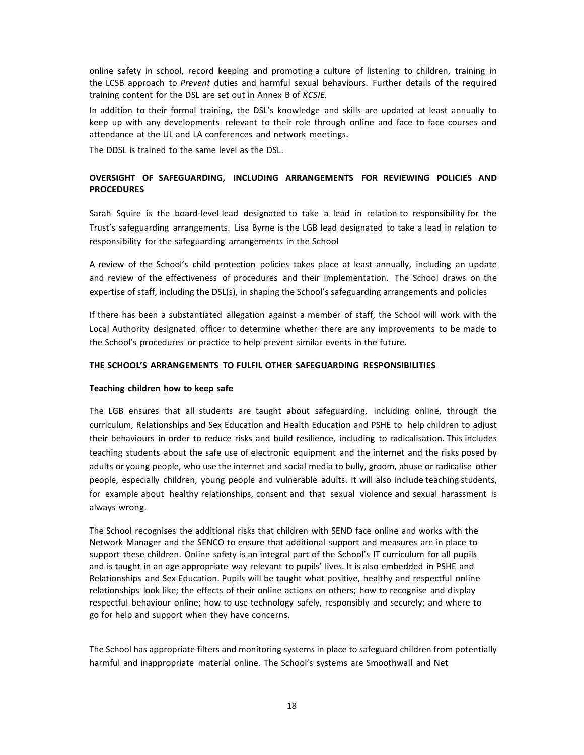online safety in school, record keeping and promoting a culture of listening to children, training in the LCSB approach to *Prevent* duties and harmful sexual behaviours. Further details of the required training content for the DSL are set out in Annex B of *KCSIE.*

In addition to their formal training, the DSL's knowledge and skills are updated at least annually to keep up with any developments relevant to their role through online and face to face courses and attendance at the UL and LA conferences and network meetings.

The DDSL is trained to the same level as the DSL.

#### **OVERSIGHT OF SAFEGUARDING, INCLUDING ARRANGEMENTS FOR REVIEWING POLICIES AND PROCEDURES**

Sarah Squire is the board-level lead designated to take a lead in relation to responsibility for the Trust's safeguarding arrangements. Lisa Byrne is the LGB lead designated to take a lead in relation to responsibility for the safeguarding arrangements in the School

A review of the School's child protection policies takes place at least annually, including an update and review of the effectiveness of procedures and their implementation. The School draws on the expertise of staff, including the DSL(s), in shaping the School's safeguarding arrangements and policies.

If there has been a substantiated allegation against a member of staff, the School will work with the Local Authority designated officer to determine whether there are any improvements to be made to the School's procedures or practice to help prevent similar events in the future.

#### **THE SCHOOL'S ARRANGEMENTS TO FULFIL OTHER SAFEGUARDING RESPONSIBILITIES**

#### **Teaching children how to keep safe**

The LGB ensures that all students are taught about safeguarding, including online, through the curriculum, Relationships and Sex Education and Health Education and PSHE to help children to adjust their behaviours in order to reduce risks and build resilience, including to radicalisation. This includes teaching students about the safe use of electronic equipment and the internet and the risks posed by adults or young people, who use the internet and social media to bully, groom, abuse or radicalise other people, especially children, young people and vulnerable adults. It will also include teaching students, for example about healthy relationships, consent and that sexual violence and sexual harassment is always wrong.

The School recognises the additional risks that children with SEND face online and works with the Network Manager and the SENCO to ensure that additional support and measures are in place to support these children. Online safety is an integral part of the School's IT curriculum for all pupils and is taught in an age appropriate way relevant to pupils' lives. It is also embedded in PSHE and Relationships and Sex Education. Pupils will be taught what positive, healthy and respectful online relationships look like; the effects of their online actions on others; how to recognise and display respectful behaviour online; how to use technology safely, responsibly and securely; and where to go for help and support when they have concerns.

The School has appropriate filters and monitoring systems in place to safeguard children from potentially harmful and inappropriate material online. The School's systems are Smoothwall and Net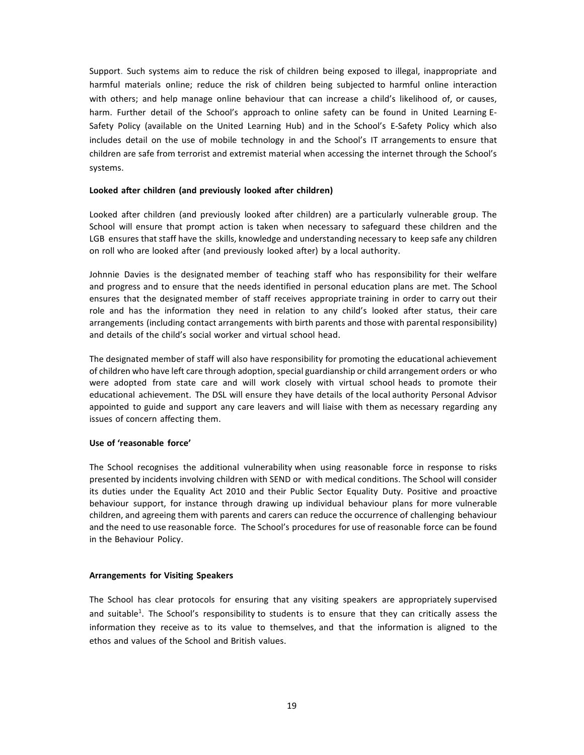Support. Such systems aim to reduce the risk of children being exposed to illegal, inappropriate and harmful materials online; reduce the risk of children being subjected to harmful online interaction with others; and help manage online behaviour that can increase a child's likelihood of, or causes, harm. Further detail of the School's approach to online safety can be found in United Learning E-Safety Policy (available on the United Learning Hub) and in the School's E‐Safety Policy which also includes detail on the use of mobile technology in and the School's IT arrangements to ensure that children are safe from terrorist and extremist material when accessing the internet through the School's systems.

#### **Looked after children (and previously looked after children)**

Looked after children (and previously looked after children) are a particularly vulnerable group. The School will ensure that prompt action is taken when necessary to safeguard these children and the LGB ensures that staff have the skills, knowledge and understanding necessary to keep safe any children on roll who are looked after (and previously looked after) by a local authority.

Johnnie Davies is the designated member of teaching staff who has responsibility for their welfare and progress and to ensure that the needs identified in personal education plans are met. The School ensures that the designated member of staff receives appropriate training in order to carry out their role and has the information they need in relation to any child's looked after status, their care arrangements (including contact arrangements with birth parents and those with parental responsibility) and details of the child's social worker and virtual school head.

The designated member of staff will also have responsibility for promoting the educational achievement of children who have left care through adoption, special guardianship or child arrangement orders or who were adopted from state care and will work closely with virtual school heads to promote their educational achievement. The DSL will ensure they have details of the local authority Personal Advisor appointed to guide and support any care leavers and will liaise with them as necessary regarding any issues of concern affecting them.

#### **Use of 'reasonable force'**

The School recognises the additional vulnerability when using reasonable force in response to risks presented by incidents involving children with SEND or with medical conditions. The School will consider its duties under the Equality Act 2010 and their Public Sector Equality Duty. Positive and proactive behaviour support, for instance through drawing up individual behaviour plans for more vulnerable children, and agreeing them with parents and carers can reduce the occurrence of challenging behaviour and the need to use reasonable force. The School's procedures for use of reasonable force can be found in the Behaviour Policy.

#### **Arrangements for Visiting Speakers**

The School has clear protocols for ensuring that any visiting speakers are appropriately supervised and suitable<sup>1</sup>. The School's responsibility to students is to ensure that they can critically assess the information they receive as to its value to themselves, and that the information is aligned to the ethos and values of the School and British values.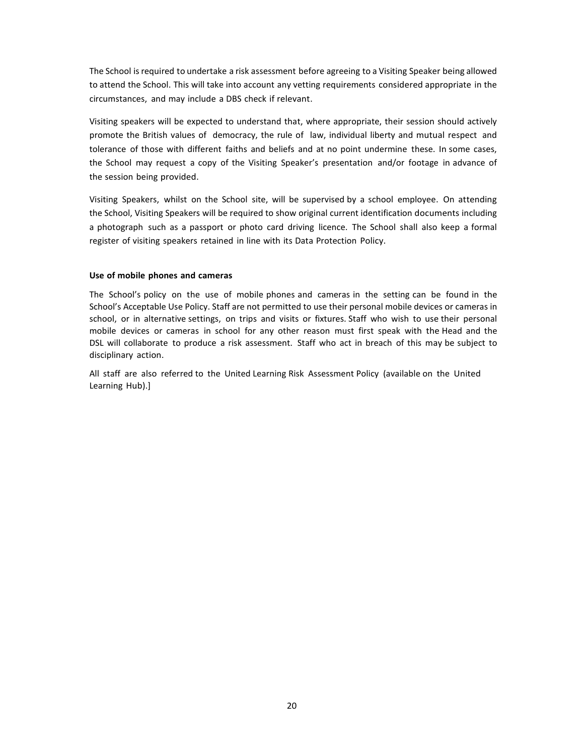The School is required to undertake a risk assessment before agreeing to a Visiting Speaker being allowed to attend the School. This will take into account any vetting requirements considered appropriate in the circumstances, and may include a DBS check if relevant.

Visiting speakers will be expected to understand that, where appropriate, their session should actively promote the British values of democracy, the rule of law, individual liberty and mutual respect and tolerance of those with different faiths and beliefs and at no point undermine these. In some cases, the School may request a copy of the Visiting Speaker's presentation and/or footage in advance of the session being provided.

Visiting Speakers, whilst on the School site, will be supervised by a school employee. On attending the School, Visiting Speakers will be required to show original current identification documents including a photograph such as a passport or photo card driving licence. The School shall also keep a formal register of visiting speakers retained in line with its Data Protection Policy.

#### **Use of mobile phones and cameras**

The School's policy on the use of mobile phones and cameras in the setting can be found in the School's Acceptable Use Policy. Staff are not permitted to use their personal mobile devices or cameras in school, or in alternative settings, on trips and visits or fixtures. Staff who wish to use their personal mobile devices or cameras in school for any other reason must first speak with the Head and the DSL will collaborate to produce a risk assessment. Staff who act in breach of this may be subject to disciplinary action.

All staff are also referred to the United Learning Risk Assessment Policy (available on the United Learning Hub).]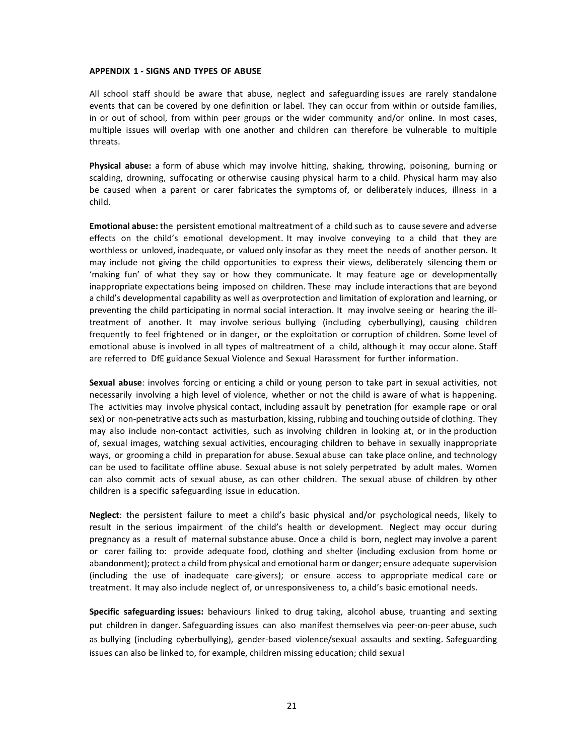#### **APPENDIX 1 ‐ SIGNS AND TYPES OF ABUSE**

All school staff should be aware that abuse, neglect and safeguarding issues are rarely standalone events that can be covered by one definition or label. They can occur from within or outside families, in or out of school, from within peer groups or the wider community and/or online. In most cases, multiple issues will overlap with one another and children can therefore be vulnerable to multiple threats.

**Physical abuse:** a form of abuse which may involve hitting, shaking, throwing, poisoning, burning or scalding, drowning, suffocating or otherwise causing physical harm to a child. Physical harm may also be caused when a parent or carer fabricates the symptoms of, or deliberately induces, illness in a child.

**Emotional abuse:** the persistent emotional maltreatment of a child such as to cause severe and adverse effects on the child's emotional development. It may involve conveying to a child that they are worthless or unloved, inadequate, or valued only insofar as they meet the needs of another person. It may include not giving the child opportunities to express their views, deliberately silencing them or 'making fun' of what they say or how they communicate. It may feature age or developmentally inappropriate expectations being imposed on children. These may include interactions that are beyond a child's developmental capability as well as overprotection and limitation of exploration and learning, or preventing the child participating in normal social interaction. It may involve seeing or hearing the illtreatment of another. It may involve serious bullying (including cyberbullying), causing children frequently to feel frightened or in danger, or the exploitation or corruption of children. Some level of emotional abuse is involved in all types of maltreatment of a child, although it may occur alone. Staff are referred to DfE guidance Sexual Violence and Sexual Harassment for further information.

**Sexual abuse**: involves forcing or enticing a child or young person to take part in sexual activities, not necessarily involving a high level of violence, whether or not the child is aware of what is happening. The activities may involve physical contact, including assault by penetration (for example rape or oral sex) or non-penetrative acts such as masturbation, kissing, rubbing and touching outside of clothing. They may also include non‐contact activities, such as involving children in looking at, or in the production of, sexual images, watching sexual activities, encouraging children to behave in sexually inappropriate ways, or grooming a child in preparation for abuse. Sexual abuse can take place online, and technology can be used to facilitate offline abuse. Sexual abuse is not solely perpetrated by adult males. Women can also commit acts of sexual abuse, as can other children. The sexual abuse of children by other children is a specific safeguarding issue in education.

**Neglect**: the persistent failure to meet a child's basic physical and/or psychological needs, likely to result in the serious impairment of the child's health or development. Neglect may occur during pregnancy as a result of maternal substance abuse. Once a child is born, neglect may involve a parent or carer failing to: provide adequate food, clothing and shelter (including exclusion from home or abandonment); protect a child from physical and emotional harm or danger; ensure adequate supervision (including the use of inadequate care‐givers); or ensure access to appropriate medical care or treatment. It may also include neglect of, or unresponsiveness to, a child's basic emotional needs.

**Specific safeguarding issues:** behaviours linked to drug taking, alcohol abuse, truanting and sexting put children in danger. Safeguarding issues can also manifest themselves via peer‐on‐peer abuse, such as bullying (including cyberbullying), gender‐based violence/sexual assaults and sexting. Safeguarding issues can also be linked to, for example, children missing education; child sexual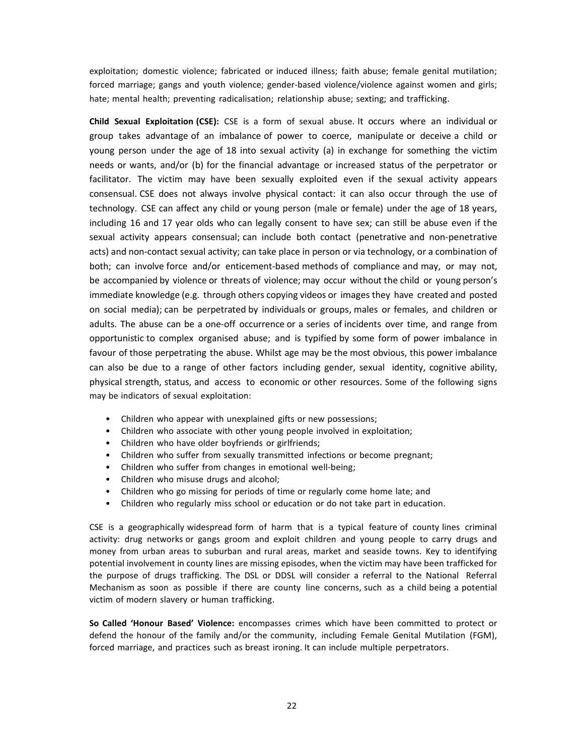exploitation; domestic violence; fabricated or induced illness; faith abuse; female genital mutilation; forced marriage; gangs and youth violence; gender‐based violence/violence against women and girls; hate; mental health; preventing radicalisation; relationship abuse; sexting; and trafficking.

**Child Sexual Exploitation (CSE):** CSE is a form of sexual abuse. It occurs where an individual or group takes advantage of an imbalance of power to coerce, manipulate or deceive a child or young person under the age of 18 into sexual activity (a) in exchange for something the victim needs or wants, and/or (b) for the financial advantage or increased status of the perpetrator or facilitator. The victim may have been sexually exploited even if the sexual activity appears consensual. CSE does not always involve physical contact: it can also occur through the use of technology. CSE can affect any child or young person (male or female) under the age of 18 years, including 16 and 17 year olds who can legally consent to have sex; can still be abuse even if the sexual activity appears consensual; can include both contact (penetrative and non‐penetrative acts) and non‐contact sexual activity; can take place in person or via technology, or a combination of both; can involve force and/or enticement‐based methods of compliance and may, or may not, be accompanied by violence or threats of violence; may occur without the child or young person's immediate knowledge (e.g. through others copying videos or images they have created and posted on social media); can be perpetrated by individuals or groups, males or females, and children or adults. The abuse can be a one‐off occurrence or a series of incidents over time, and range from opportunistic to complex organised abuse; and is typified by some form of power imbalance in favour of those perpetrating the abuse. Whilst age may be the most obvious, this power imbalance can also be due to a range of other factors including gender, sexual identity, cognitive ability, physical strength, status, and access to economic or other resources. Some of the following signs may be indicators of sexual exploitation:

- Children who appear with unexplained gifts or new possessions;
- Children who associate with other young people involved in exploitation;
- Children who have older boyfriends or girlfriends;
- Children who suffer from sexually transmitted infections or become pregnant;
- Children who suffer from changes in emotional well‐being;
- Children who misuse drugs and alcohol;
- Children who go missing for periods of time or regularly come home late; and
- Children who regularly miss school or education or do not take part in education.

CSE is a geographically widespread form of harm that is a typical feature of county lines criminal activity: drug networks or gangs groom and exploit children and young people to carry drugs and money from urban areas to suburban and rural areas, market and seaside towns. Key to identifying potential involvement in county lines are missing episodes, when the victim may have been trafficked for the purpose of drugs trafficking. The DSL or DDSL will consider a referral to the National Referral Mechanism as soon as possible if there are county line concerns, such as a child being a potential victim of modern slavery or human trafficking.

**So Called 'Honour Based' Violence:** encompasses crimes which have been committed to protect or defend the honour of the family and/or the community, including Female Genital Mutilation (FGM), forced marriage, and practices such as breast ironing. It can include multiple perpetrators.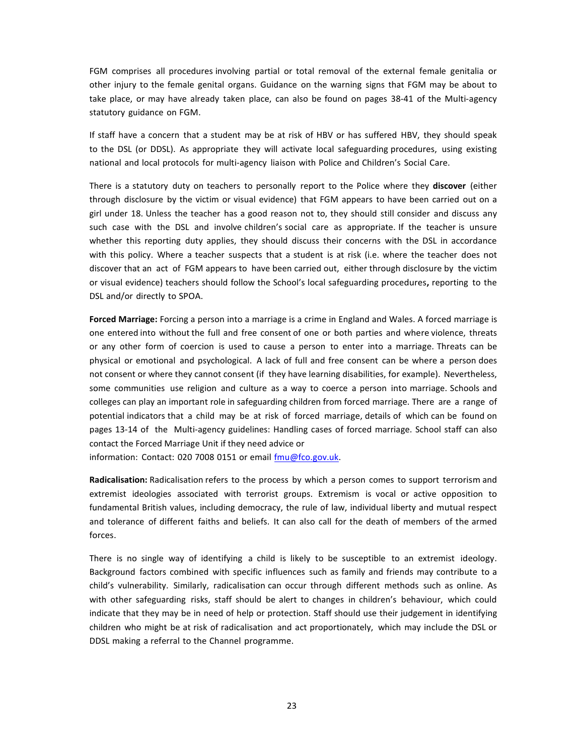FGM comprises all procedures involving partial or total removal of the external female genitalia or other injury to the female genital organs. Guidance on the warning signs that FGM may be about to take place, or may have already taken place, can also be found on pages 38‐41 of the Multi‐agency statutory guidance on FGM.

If staff have a concern that a student may be at risk of HBV or has suffered HBV, they should speak to the DSL (or DDSL). As appropriate they will activate local safeguarding procedures, using existing national and local protocols for multi‐agency liaison with Police and Children's Social Care.

There is a statutory duty on teachers to personally report to the Police where they **discover** (either through disclosure by the victim or visual evidence) that FGM appears to have been carried out on a girl under 18. Unless the teacher has a good reason not to, they should still consider and discuss any such case with the DSL and involve children's social care as appropriate. If the teacher is unsure whether this reporting duty applies, they should discuss their concerns with the DSL in accordance with this policy. Where a teacher suspects that a student is at risk (i.e. where the teacher does not discover that an act of FGM appears to have been carried out, either through disclosure by the victim or visual evidence) teachers should follow the School's local safeguarding procedures**,** reporting to the DSL and/or directly to SPOA.

**Forced Marriage:** Forcing a person into a marriage is a crime in England and Wales. A forced marriage is one entered into without the full and free consent of one or both parties and where violence, threats or any other form of coercion is used to cause a person to enter into a marriage. Threats can be physical or emotional and psychological. A lack of full and free consent can be where a person does not consent or where they cannot consent (if they have learning disabilities, for example). Nevertheless, some communities use religion and culture as a way to coerce a person into marriage. Schools and colleges can play an important role in safeguarding children from forced marriage. There are a range of potential indicators that a child may be at risk of forced marriage, details of which can be found on pages 13-14 of the Multi-agency guidelines: Handling cases of forced marriage. School staff can also contact the Forced Marriage Unit if they need advice or

information: Contact: 020 7008 0151 or email [fmu@fco.gov.uk.](mailto:fmu@fco.gov.uk)

**Radicalisation:** Radicalisation refers to the process by which a person comes to support terrorism and extremist ideologies associated with terrorist groups. Extremism is vocal or active opposition to fundamental British values, including democracy, the rule of law, individual liberty and mutual respect and tolerance of different faiths and beliefs. It can also call for the death of members of the armed forces.

There is no single way of identifying a child is likely to be susceptible to an extremist ideology. Background factors combined with specific influences such as family and friends may contribute to a child's vulnerability. Similarly, radicalisation can occur through different methods such as online. As with other safeguarding risks, staff should be alert to changes in children's behaviour, which could indicate that they may be in need of help or protection. Staff should use their judgement in identifying children who might be at risk of radicalisation and act proportionately, which may include the DSL or DDSL making a referral to the Channel programme.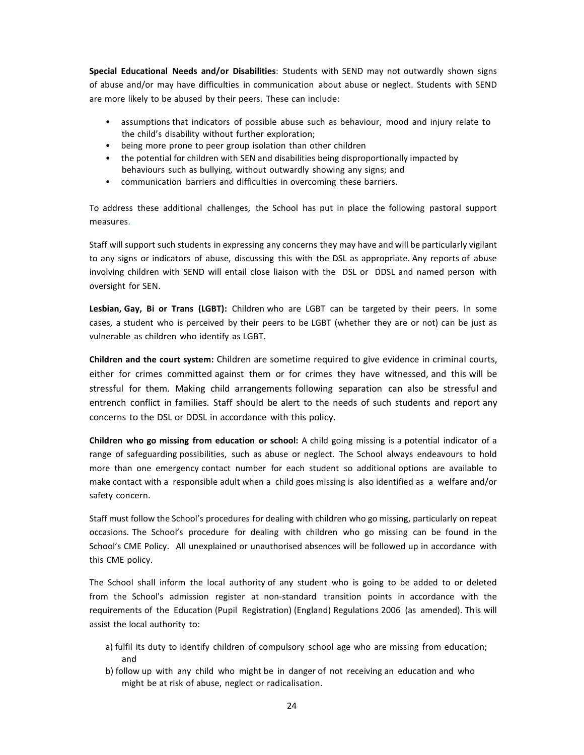**Special Educational Needs and/or Disabilities**: Students with SEND may not outwardly shown signs of abuse and/or may have difficulties in communication about abuse or neglect. Students with SEND are more likely to be abused by their peers. These can include:

- assumptions that indicators of possible abuse such as behaviour, mood and injury relate to the child's disability without further exploration;
- being more prone to peer group isolation than other children
- the potential for children with SEN and disabilities being disproportionally impacted by behaviours such as bullying, without outwardly showing any signs; and
- communication barriers and difficulties in overcoming these barriers.

To address these additional challenges, the School has put in place the following pastoral support measures.

Staff will support such students in expressing any concerns they may have and will be particularly vigilant to any signs or indicators of abuse, discussing this with the DSL as appropriate. Any reports of abuse involving children with SEND will entail close liaison with the DSL or DDSL and named person with oversight for SEN.

**Lesbian, Gay, Bi or Trans (LGBT):** Children who are LGBT can be targeted by their peers. In some cases, a student who is perceived by their peers to be LGBT (whether they are or not) can be just as vulnerable as children who identify as LGBT.

**Children and the court system:** Children are sometime required to give evidence in criminal courts, either for crimes committed against them or for crimes they have witnessed, and this will be stressful for them. Making child arrangements following separation can also be stressful and entrench conflict in families. Staff should be alert to the needs of such students and report any concerns to the DSL or DDSL in accordance with this policy.

**Children who go missing from education or school:** A child going missing is a potential indicator of a range of safeguarding possibilities, such as abuse or neglect. The School always endeavours to hold more than one emergency contact number for each student so additional options are available to make contact with a responsible adult when a child goes missing is also identified as a welfare and/or safety concern.

Staff must follow the School's procedures for dealing with children who go missing, particularly on repeat occasions. The School's procedure for dealing with children who go missing can be found in the School's CME Policy. All unexplained or unauthorised absences will be followed up in accordance with this CME policy.

The School shall inform the local authority of any student who is going to be added to or deleted from the School's admission register at non-standard transition points in accordance with the requirements of the Education (Pupil Registration) (England) Regulations 2006 (as amended). This will assist the local authority to:

- a) fulfil its duty to identify children of compulsory school age who are missing from education; and
- b) follow up with any child who might be in danger of not receiving an education and who might be at risk of abuse, neglect or radicalisation.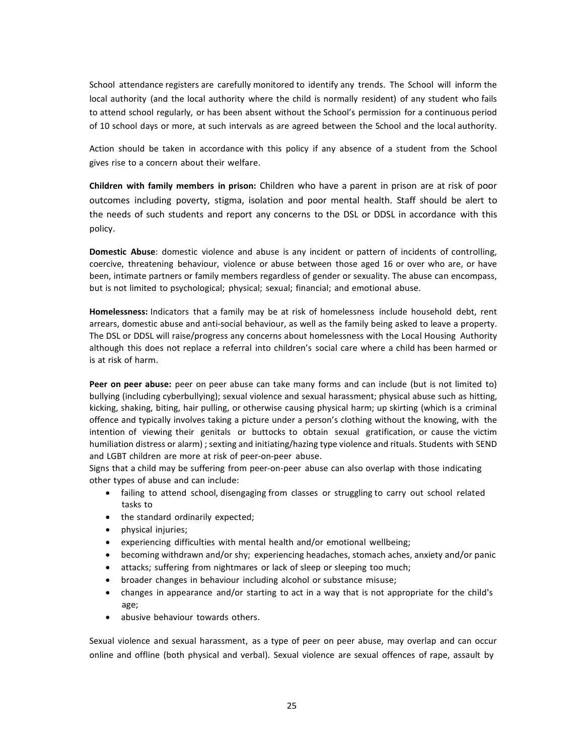School attendance registers are carefully monitored to identify any trends. The School will inform the local authority (and the local authority where the child is normally resident) of any student who fails to attend school regularly, or has been absent without the School's permission for a continuous period of 10 school days or more, at such intervals as are agreed between the School and the local authority.

Action should be taken in accordance with this policy if any absence of a student from the School gives rise to a concern about their welfare.

**Children with family members in prison:** Children who have a parent in prison are at risk of poor outcomes including poverty, stigma, isolation and poor mental health. Staff should be alert to the needs of such students and report any concerns to the DSL or DDSL in accordance with this policy.

**Domestic Abuse**: domestic violence and abuse is any incident or pattern of incidents of controlling, coercive, threatening behaviour, violence or abuse between those aged 16 or over who are, or have been, intimate partners or family members regardless of gender or sexuality. The abuse can encompass, but is not limited to psychological; physical; sexual; financial; and emotional abuse.

**Homelessness:** Indicators that a family may be at risk of homelessness include household debt, rent arrears, domestic abuse and anti‐social behaviour, as well as the family being asked to leave a property. The DSL or DDSL will raise/progress any concerns about homelessness with the Local Housing Authority although this does not replace a referral into children's social care where a child has been harmed or is at risk of harm.

**Peer on peer abuse:** peer on peer abuse can take many forms and can include (but is not limited to) bullying (including cyberbullying); sexual violence and sexual harassment; physical abuse such as hitting, kicking, shaking, biting, hair pulling, or otherwise causing physical harm; up skirting (which is a criminal offence and typically involves taking a picture under a person's clothing without the knowing, with the intention of viewing their genitals or buttocks to obtain sexual gratification, or cause the victim humiliation distress or alarm) ; sexting and initiating/hazing type violence and rituals. Students with SEND and LGBT children are more at risk of peer‐on‐peer abuse.

Signs that a child may be suffering from peer‐on‐peer abuse can also overlap with those indicating other types of abuse and can include:

- failing to attend school, disengaging from classes or struggling to carry out school related tasks to
- the standard ordinarily expected;
- physical injuries;
- experiencing difficulties with mental health and/or emotional wellbeing;
- becoming withdrawn and/or shy; experiencing headaches, stomach aches, anxiety and/or panic
- attacks; suffering from nightmares or lack of sleep or sleeping too much;
- broader changes in behaviour including alcohol or substance misuse;
- changes in appearance and/or starting to act in a way that is not appropriate for the child's age;
- abusive behaviour towards others.

Sexual violence and sexual harassment, as a type of peer on peer abuse, may overlap and can occur online and offline (both physical and verbal). Sexual violence are sexual offences of rape, assault by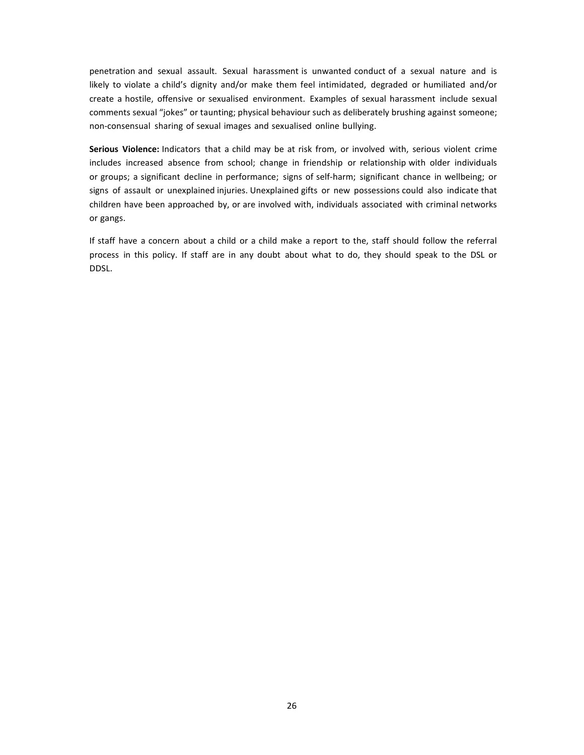penetration and sexual assault. Sexual harassment is unwanted conduct of a sexual nature and is likely to violate a child's dignity and/or make them feel intimidated, degraded or humiliated and/or create a hostile, offensive or sexualised environment. Examples of sexual harassment include sexual comments sexual "jokes" or taunting; physical behaviour such as deliberately brushing against someone; non‐consensual sharing of sexual images and sexualised online bullying.

**Serious Violence:** Indicators that a child may be at risk from, or involved with, serious violent crime includes increased absence from school; change in friendship or relationship with older individuals or groups; a significant decline in performance; signs of self‐harm; significant chance in wellbeing; or signs of assault or unexplained injuries. Unexplained gifts or new possessions could also indicate that children have been approached by, or are involved with, individuals associated with criminal networks or gangs.

If staff have a concern about a child or a child make a report to the, staff should follow the referral process in this policy. If staff are in any doubt about what to do, they should speak to the DSL or DDSL.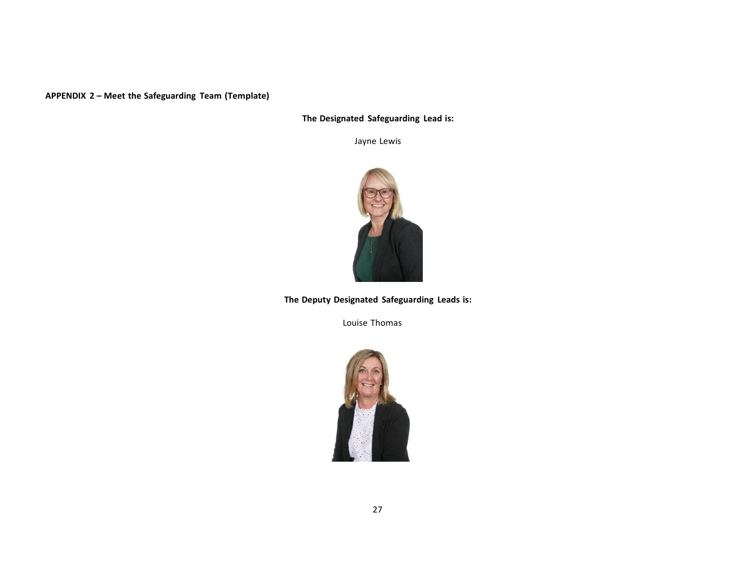#### **APPENDIX 2 – Meet the Safeguarding Team (Template)**

#### **The Designated Safeguarding Lead is:**

Jayne Lewis



**The Deputy Designated Safeguarding Leads is:**

Louise Thomas

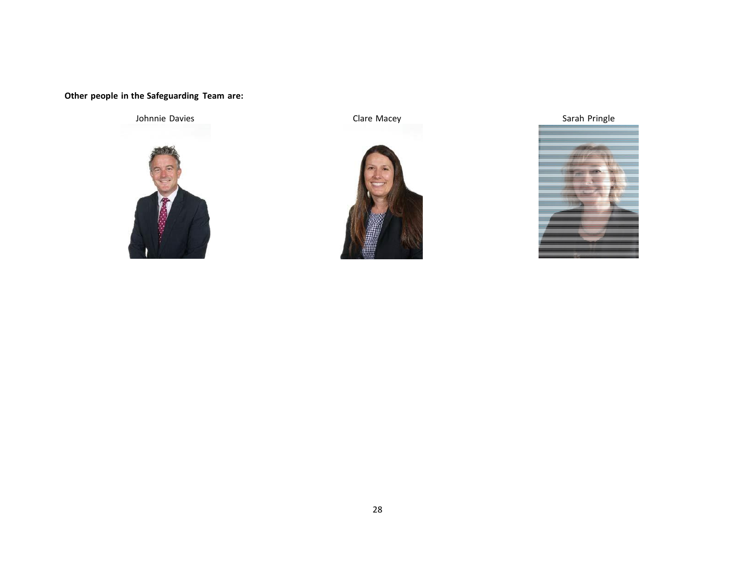## **Other people in the Safeguarding Team are:**

Johnnie Davies **Clare Macey** Clare Macey **Clare Macey** Sarah Pringle





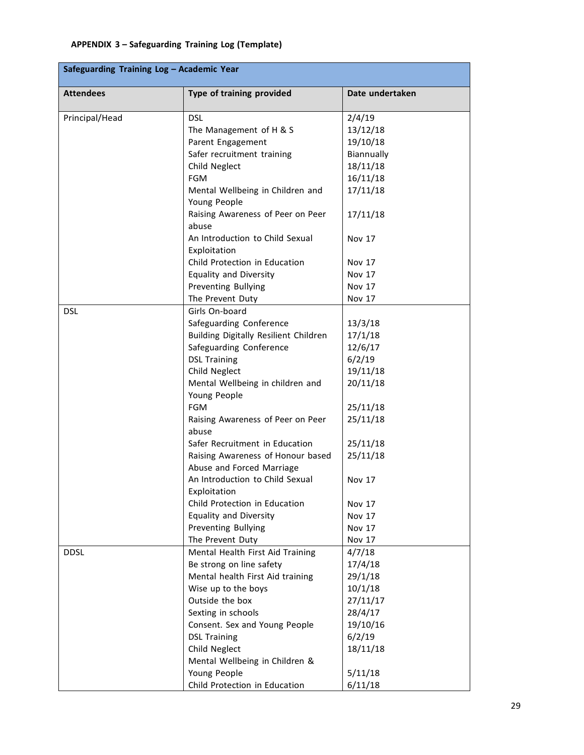#### **APPENDIX 3 – Safeguarding Training Log (Template)**

| Safeguarding Training Log - Academic Year |                                                  |                 |  |
|-------------------------------------------|--------------------------------------------------|-----------------|--|
| <b>Attendees</b>                          | Type of training provided                        | Date undertaken |  |
| Principal/Head                            | <b>DSL</b>                                       | 2/4/19          |  |
|                                           | The Management of H & S                          | 13/12/18        |  |
|                                           | Parent Engagement                                | 19/10/18        |  |
|                                           | Safer recruitment training                       | Biannually      |  |
|                                           | Child Neglect                                    | 18/11/18        |  |
|                                           | <b>FGM</b>                                       | 16/11/18        |  |
|                                           | Mental Wellbeing in Children and<br>Young People | 17/11/18        |  |
|                                           | Raising Awareness of Peer on Peer<br>abuse       | 17/11/18        |  |
|                                           | An Introduction to Child Sexual<br>Exploitation  | <b>Nov 17</b>   |  |
|                                           | Child Protection in Education                    | <b>Nov 17</b>   |  |
|                                           | <b>Equality and Diversity</b>                    | <b>Nov 17</b>   |  |
|                                           | Preventing Bullying                              | <b>Nov 17</b>   |  |
|                                           | The Prevent Duty                                 | Nov 17          |  |
| <b>DSL</b>                                | Girls On-board                                   |                 |  |
|                                           | Safeguarding Conference                          | 13/3/18         |  |
|                                           | Building Digitally Resilient Children            | 17/1/18         |  |
|                                           | Safeguarding Conference                          | 12/6/17         |  |
|                                           | <b>DSL Training</b>                              | 6/2/19          |  |
|                                           | Child Neglect                                    | 19/11/18        |  |
|                                           | Mental Wellbeing in children and<br>Young People | 20/11/18        |  |
|                                           | <b>FGM</b>                                       | 25/11/18        |  |
|                                           | Raising Awareness of Peer on Peer<br>abuse       | 25/11/18        |  |
|                                           | Safer Recruitment in Education                   | 25/11/18        |  |
|                                           | Raising Awareness of Honour based                | 25/11/18        |  |
|                                           | Abuse and Forced Marriage                        |                 |  |
|                                           | An Introduction to Child Sexual<br>Exploitation  | <b>Nov 17</b>   |  |
|                                           | Child Protection in Education                    | <b>Nov 17</b>   |  |
|                                           | <b>Equality and Diversity</b>                    | <b>Nov 17</b>   |  |
|                                           | Preventing Bullying                              | <b>Nov 17</b>   |  |
|                                           | The Prevent Duty                                 | <b>Nov 17</b>   |  |
| <b>DDSL</b>                               | Mental Health First Aid Training                 | 4/7/18          |  |
|                                           | Be strong on line safety                         | 17/4/18         |  |
|                                           | Mental health First Aid training                 | 29/1/18         |  |
|                                           | Wise up to the boys                              | 10/1/18         |  |
|                                           | Outside the box                                  | 27/11/17        |  |
|                                           | Sexting in schools                               | 28/4/17         |  |
|                                           | Consent. Sex and Young People                    | 19/10/16        |  |
|                                           | <b>DSL Training</b>                              | 6/2/19          |  |
|                                           | Child Neglect                                    | 18/11/18        |  |
|                                           | Mental Wellbeing in Children &                   |                 |  |
|                                           | Young People                                     | 5/11/18         |  |
|                                           | Child Protection in Education                    | 6/11/18         |  |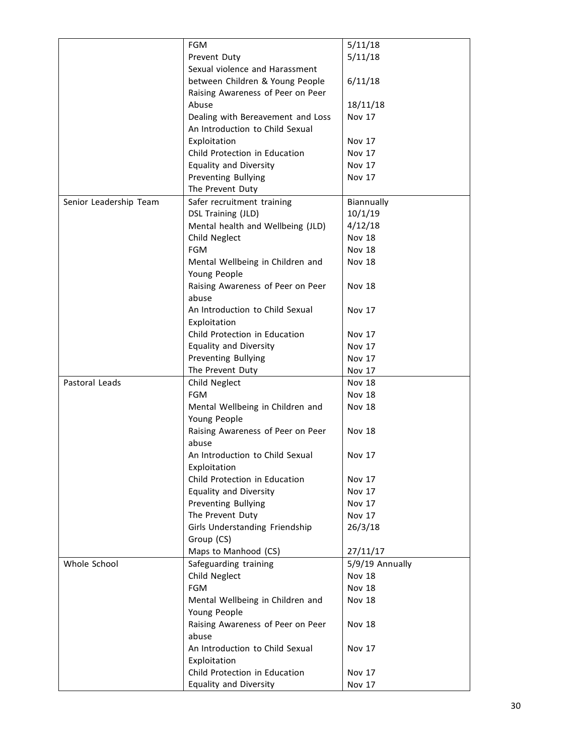|                        | <b>FGM</b>                        | 5/11/18         |
|------------------------|-----------------------------------|-----------------|
|                        | Prevent Duty                      | 5/11/18         |
|                        | Sexual violence and Harassment    |                 |
|                        | between Children & Young People   | 6/11/18         |
|                        | Raising Awareness of Peer on Peer |                 |
|                        | Abuse                             | 18/11/18        |
|                        | Dealing with Bereavement and Loss | <b>Nov 17</b>   |
|                        | An Introduction to Child Sexual   |                 |
|                        | Exploitation                      | <b>Nov 17</b>   |
|                        | Child Protection in Education     | <b>Nov 17</b>   |
|                        | Equality and Diversity            | <b>Nov 17</b>   |
|                        | Preventing Bullying               | <b>Nov 17</b>   |
|                        | The Prevent Duty                  |                 |
| Senior Leadership Team | Safer recruitment training        | Biannually      |
|                        | DSL Training (JLD)                | 10/1/19         |
|                        | Mental health and Wellbeing (JLD) | 4/12/18         |
|                        | Child Neglect                     | <b>Nov 18</b>   |
|                        | <b>FGM</b>                        | <b>Nov 18</b>   |
|                        | Mental Wellbeing in Children and  | <b>Nov 18</b>   |
|                        | Young People                      |                 |
|                        | Raising Awareness of Peer on Peer | <b>Nov 18</b>   |
|                        | abuse                             |                 |
|                        | An Introduction to Child Sexual   | <b>Nov 17</b>   |
|                        | Exploitation                      |                 |
|                        | Child Protection in Education     | <b>Nov 17</b>   |
|                        | Equality and Diversity            | <b>Nov 17</b>   |
|                        | Preventing Bullying               | <b>Nov 17</b>   |
|                        | The Prevent Duty                  | <b>Nov 17</b>   |
| Pastoral Leads         | Child Neglect                     | <b>Nov 18</b>   |
|                        | <b>FGM</b>                        | <b>Nov 18</b>   |
|                        | Mental Wellbeing in Children and  | <b>Nov 18</b>   |
|                        | Young People                      |                 |
|                        | Raising Awareness of Peer on Peer | <b>Nov 18</b>   |
|                        | abuse                             |                 |
|                        | An Introduction to Child Sexual   | <b>Nov 17</b>   |
|                        | Exploitation                      |                 |
|                        | Child Protection in Education     | <b>Nov 17</b>   |
|                        | <b>Equality and Diversity</b>     | <b>Nov 17</b>   |
|                        | Preventing Bullying               | <b>Nov 17</b>   |
|                        | The Prevent Duty                  | <b>Nov 17</b>   |
|                        | Girls Understanding Friendship    | 26/3/18         |
|                        | Group (CS)                        |                 |
|                        | Maps to Manhood (CS)              | 27/11/17        |
| Whole School           | Safeguarding training             | 5/9/19 Annually |
|                        | Child Neglect                     | <b>Nov 18</b>   |
|                        | FGM                               | <b>Nov 18</b>   |
|                        | Mental Wellbeing in Children and  | <b>Nov 18</b>   |
|                        | Young People                      |                 |
|                        | Raising Awareness of Peer on Peer | <b>Nov 18</b>   |
|                        | abuse                             |                 |
|                        | An Introduction to Child Sexual   | <b>Nov 17</b>   |
|                        | Exploitation                      |                 |
|                        | Child Protection in Education     | <b>Nov 17</b>   |
|                        | <b>Equality and Diversity</b>     | <b>Nov 17</b>   |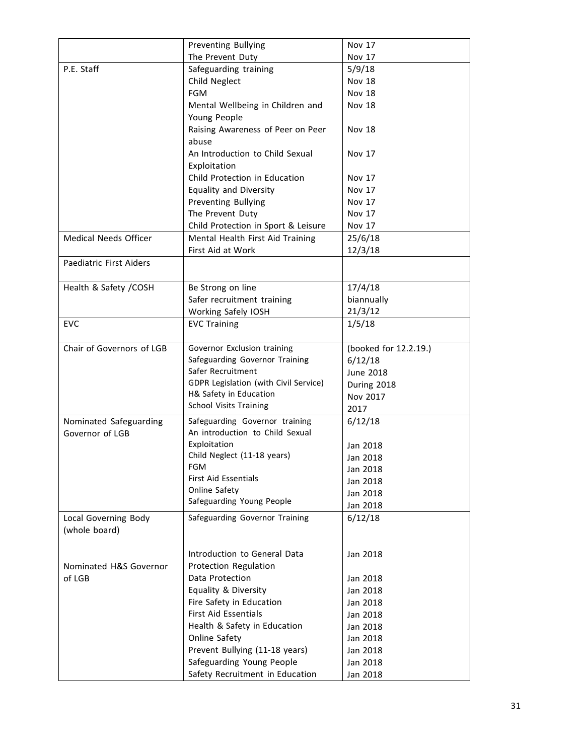|                                       | Preventing Bullying                   | <b>Nov 17</b>         |
|---------------------------------------|---------------------------------------|-----------------------|
|                                       | The Prevent Duty                      | <b>Nov 17</b>         |
| P.E. Staff                            | Safeguarding training                 | 5/9/18                |
|                                       | Child Neglect                         | <b>Nov 18</b>         |
|                                       | <b>FGM</b>                            | <b>Nov 18</b>         |
|                                       | Mental Wellbeing in Children and      | <b>Nov 18</b>         |
|                                       | Young People                          |                       |
|                                       | Raising Awareness of Peer on Peer     | <b>Nov 18</b>         |
|                                       | abuse                                 |                       |
|                                       | An Introduction to Child Sexual       | <b>Nov 17</b>         |
|                                       | Exploitation                          |                       |
|                                       | Child Protection in Education         | <b>Nov 17</b>         |
|                                       | <b>Equality and Diversity</b>         | <b>Nov 17</b>         |
|                                       | Preventing Bullying                   | Nov 17                |
|                                       | The Prevent Duty                      | <b>Nov 17</b>         |
|                                       | Child Protection in Sport & Leisure   | <b>Nov 17</b>         |
| Medical Needs Officer                 | Mental Health First Aid Training      | 25/6/18               |
|                                       | First Aid at Work                     | 12/3/18               |
| Paediatric First Aiders               |                                       |                       |
| Health & Safety / COSH                | Be Strong on line                     | 17/4/18               |
|                                       | Safer recruitment training            | biannually            |
|                                       | Working Safely IOSH                   | 21/3/12               |
| EVC                                   | <b>EVC Training</b>                   | 1/5/18                |
|                                       |                                       |                       |
| Chair of Governors of LGB             | Governor Exclusion training           | (booked for 12.2.19.) |
|                                       | Safeguarding Governor Training        | 6/12/18               |
|                                       | Safer Recruitment                     | June 2018             |
|                                       | GDPR Legislation (with Civil Service) | During 2018           |
|                                       | H& Safety in Education                | Nov 2017              |
|                                       | <b>School Visits Training</b>         | 2017                  |
| Nominated Safeguarding                | Safeguarding Governor training        | 6/12/18               |
| Governor of LGB                       | An introduction to Child Sexual       |                       |
|                                       | Exploitation                          | Jan 2018              |
|                                       | Child Neglect (11-18 years)           | Jan 2018              |
|                                       | FGM<br><b>First Aid Essentials</b>    | Jan 2018              |
|                                       | Online Safety                         | Jan 2018              |
|                                       | Safeguarding Young People             | Jan 2018              |
|                                       |                                       | Jan 2018              |
| Local Governing Body<br>(whole board) | Safeguarding Governor Training        | 6/12/18               |
|                                       |                                       |                       |
|                                       | Introduction to General Data          | Jan 2018              |
| Nominated H&S Governor                | Protection Regulation                 |                       |
| of LGB                                | Data Protection                       | Jan 2018              |
|                                       | Equality & Diversity                  | Jan 2018              |
|                                       | Fire Safety in Education              | Jan 2018              |
|                                       | <b>First Aid Essentials</b>           | Jan 2018              |
|                                       | Health & Safety in Education          | Jan 2018              |
|                                       | Online Safety                         | Jan 2018              |
|                                       | Prevent Bullying (11-18 years)        | Jan 2018              |
|                                       | Safeguarding Young People             | Jan 2018              |
|                                       | Safety Recruitment in Education       | Jan 2018              |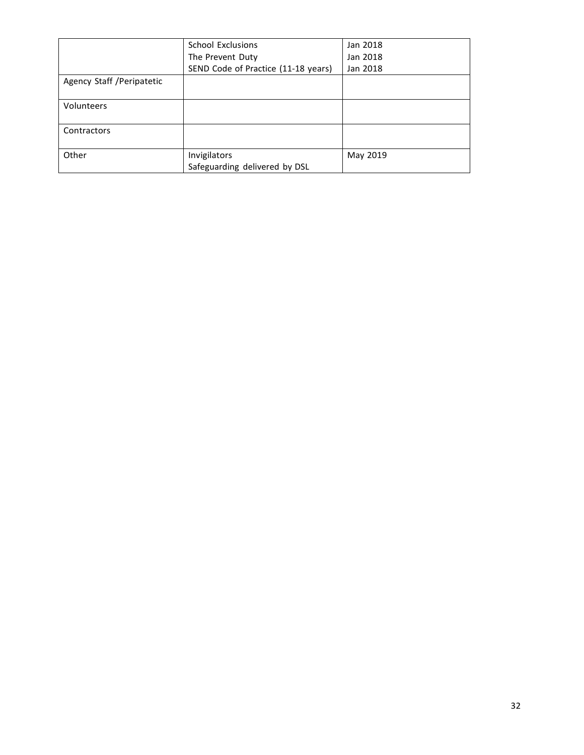|                           | <b>School Exclusions</b>            | Jan 2018 |
|---------------------------|-------------------------------------|----------|
|                           | The Prevent Duty                    | Jan 2018 |
|                           | SEND Code of Practice (11-18 years) | Jan 2018 |
| Agency Staff /Peripatetic |                                     |          |
|                           |                                     |          |
| Volunteers                |                                     |          |
|                           |                                     |          |
| Contractors               |                                     |          |
|                           |                                     |          |
| Other                     | Invigilators                        | May 2019 |
|                           | Safeguarding delivered by DSL       |          |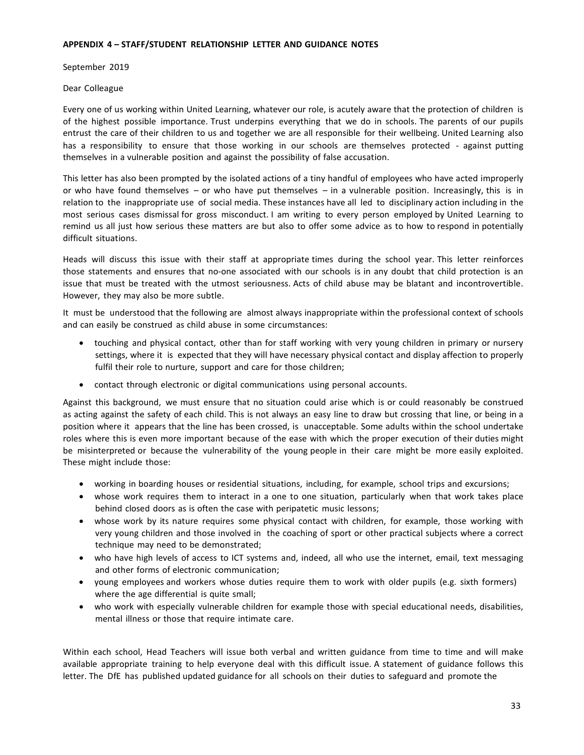#### **APPENDIX 4 – STAFF/STUDENT RELATIONSHIP LETTER AND GUIDANCE NOTES**

September 2019

#### Dear Colleague

Every one of us working within United Learning, whatever our role, is acutely aware that the protection of children is of the highest possible importance. Trust underpins everything that we do in schools. The parents of our pupils entrust the care of their children to us and together we are all responsible for their wellbeing. United Learning also has a responsibility to ensure that those working in our schools are themselves protected - against putting themselves in a vulnerable position and against the possibility of false accusation.

This letter has also been prompted by the isolated actions of a tiny handful of employees who have acted improperly or who have found themselves – or who have put themselves – in a vulnerable position. Increasingly, this is in relation to the inappropriate use of social media. These instances have all led to disciplinary action including in the most serious cases dismissal for gross misconduct. I am writing to every person employed by United Learning to remind us all just how serious these matters are but also to offer some advice as to how to respond in potentially difficult situations.

Heads will discuss this issue with their staff at appropriate times during the school year. This letter reinforces those statements and ensures that no-one associated with our schools is in any doubt that child protection is an issue that must be treated with the utmost seriousness. Acts of child abuse may be blatant and incontrovertible. However, they may also be more subtle.

It must be understood that the following are almost always inappropriate within the professional context of schools and can easily be construed as child abuse in some circumstances:

- touching and physical contact, other than for staff working with very young children in primary or nursery settings, where it is expected that they will have necessary physical contact and display affection to properly fulfil their role to nurture, support and care for those children;
- contact through electronic or digital communications using personal accounts.

Against this background, we must ensure that no situation could arise which is or could reasonably be construed as acting against the safety of each child. This is not always an easy line to draw but crossing that line, or being in a position where it appears that the line has been crossed, is unacceptable. Some adults within the school undertake roles where this is even more important because of the ease with which the proper execution of their duties might be misinterpreted or because the vulnerability of the young people in their care might be more easily exploited. These might include those:

- working in boarding houses or residential situations, including, for example, school trips and excursions;
- whose work requires them to interact in a one to one situation, particularly when that work takes place behind closed doors as is often the case with peripatetic music lessons;
- whose work by its nature requires some physical contact with children, for example, those working with very young children and those involved in the coaching of sport or other practical subjects where a correct technique may need to be demonstrated;
- who have high levels of access to ICT systems and, indeed, all who use the internet, email, text messaging and other forms of electronic communication;
- young employees and workers whose duties require them to work with older pupils (e.g. sixth formers) where the age differential is quite small;
- who work with especially vulnerable children for example those with special educational needs, disabilities, mental illness or those that require intimate care.

Within each school, Head Teachers will issue both verbal and written guidance from time to time and will make available appropriate training to help everyone deal with this difficult issue. A statement of guidance follows this letter. The DfE has published updated guidance for all schools on their duties to safeguard and promote the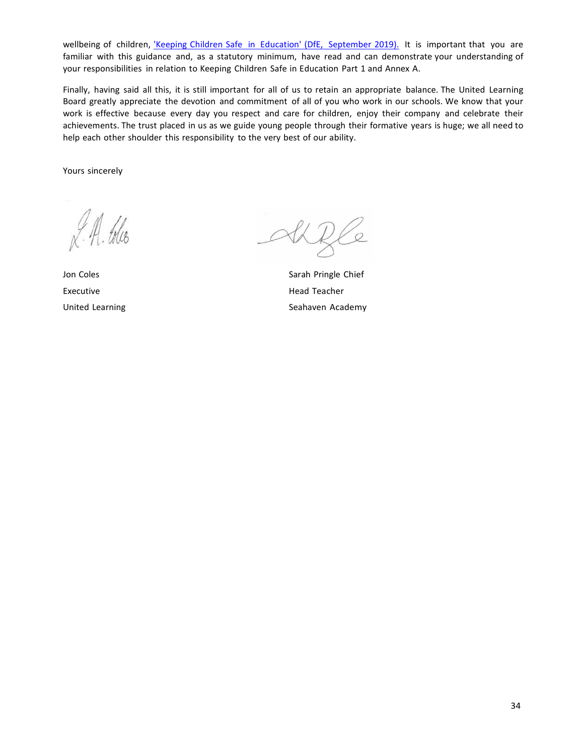wellbeing of children, 'Keeping Children Safe in Education' (DfE, September 2019). It is important that you are familiar with this guidance and, as a statutory minimum, have read and can demonstrate your understanding of your responsibilities in relation to Keeping Children Safe in Education Part 1 and Annex A.

Finally, having said all this, it is still important for all of us to retain an appropriate balance. The United Learning Board greatly appreciate the devotion and commitment of all of you who work in our schools. We know that your work is effective because every day you respect and care for children, enjoy their company and celebrate their achievements. The trust placed in us as we guide young people through their formative years is huge; we all need to help each other shoulder this responsibility to the very best of our ability.

Yours sincerely

toles

Executive **Executive Head Teacher** 

Jon Coles **Sarah Pringle Chief** Sarah Pringle Chief United Learning The Communication of the Seahaven Academy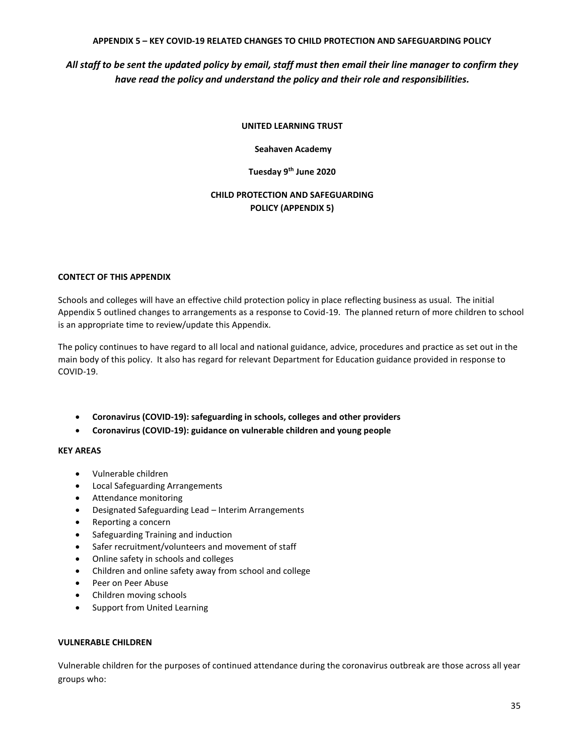#### **APPENDIX 5 – KEY COVID-19 RELATED CHANGES TO CHILD PROTECTION AND SAFEGUARDING POLICY**

*All staff to be sent the updated policy by email, staff must then email their line manager to confirm they have read the policy and understand the policy and their role and responsibilities.*

#### **UNITED LEARNING TRUST**

**Seahaven Academy**

#### **Tuesday 9th June 2020**

#### **CHILD PROTECTION AND SAFEGUARDING POLICY (APPENDIX 5)**

#### **CONTECT OF THIS APPENDIX**

Schools and colleges will have an effective child protection policy in place reflecting business as usual. The initial Appendix 5 outlined changes to arrangements as a response to Covid-19. The planned return of more children to school is an appropriate time to review/update this Appendix.

The policy continues to have regard to all local and national guidance, advice, procedures and practice as set out in the main body of this policy. It also has regard for relevant Department for Education guidance provided in response to COVID-19.

- **Coronavirus (COVID-19): safeguarding in schools, colleges and other providers**
- **Coronavirus (COVID-19): guidance on vulnerable children and young people**

#### **KEY AREAS**

- Vulnerable children
- Local Safeguarding Arrangements
- Attendance monitoring
- Designated Safeguarding Lead Interim Arrangements
- Reporting a concern
- Safeguarding Training and induction
- Safer recruitment/volunteers and movement of staff
- Online safety in schools and colleges
- Children and online safety away from school and college
- Peer on Peer Abuse
- Children moving schools
- Support from United Learning

#### **VULNERABLE CHILDREN**

Vulnerable children for the purposes of continued attendance during the coronavirus outbreak are those across all year groups who: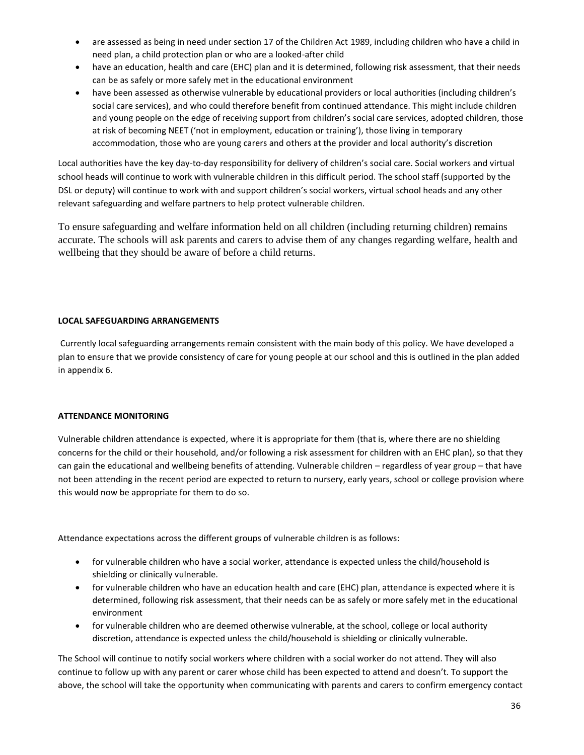- are assessed as being in need under section 17 of the Children Act 1989, including children who have a child in need plan, a child protection plan or who are a looked-after child
- have an education, health and care (EHC) plan and it is determined, following risk assessment, that their needs can be as safely or more safely met in the educational environment
- have been assessed as otherwise vulnerable by educational providers or local authorities (including children's social care services), and who could therefore benefit from continued attendance. This might include children and young people on the edge of receiving support from children's social care services, adopted children, those at risk of becoming NEET ('not in employment, education or training'), those living in temporary accommodation, those who are young carers and others at the provider and local authority's discretion

Local authorities have the key day-to-day responsibility for delivery of children's social care. Social workers and virtual school heads will continue to work with vulnerable children in this difficult period. The school staff (supported by the DSL or deputy) will continue to work with and support children's social workers, virtual school heads and any other relevant safeguarding and welfare partners to help protect vulnerable children.

To ensure safeguarding and welfare information held on all children (including returning children) remains accurate. The schools will ask parents and carers to advise them of any changes regarding welfare, health and wellbeing that they should be aware of before a child returns.

#### **LOCAL SAFEGUARDING ARRANGEMENTS**

Currently local safeguarding arrangements remain consistent with the main body of this policy. We have developed a plan to ensure that we provide consistency of care for young people at our school and this is outlined in the plan added in appendix 6.

#### **ATTENDANCE MONITORING**

Vulnerable children attendance is expected, where it is appropriate for them (that is, where there are no shielding concerns for the child or their household, and/or following a risk assessment for children with an EHC plan), so that they can gain the educational and wellbeing benefits of attending. Vulnerable children – regardless of year group – that have not been attending in the recent period are expected to return to nursery, early years, school or college provision where this would now be appropriate for them to do so.

Attendance expectations across the different groups of vulnerable children is as follows:

- for vulnerable children who have a social worker, attendance is expected unless the child/household is shielding or clinically vulnerable.
- for vulnerable children who have an education health and care (EHC) plan, attendance is expected where it is determined, following risk assessment, that their needs can be as safely or more safely met in the educational environment
- for vulnerable children who are deemed otherwise vulnerable, at the school, college or local authority discretion, attendance is expected unless the child/household is shielding or clinically vulnerable.

The School will continue to notify social workers where children with a social worker do not attend. They will also continue to follow up with any parent or carer whose child has been expected to attend and doesn't. To support the above, the school will take the opportunity when communicating with parents and carers to confirm emergency contact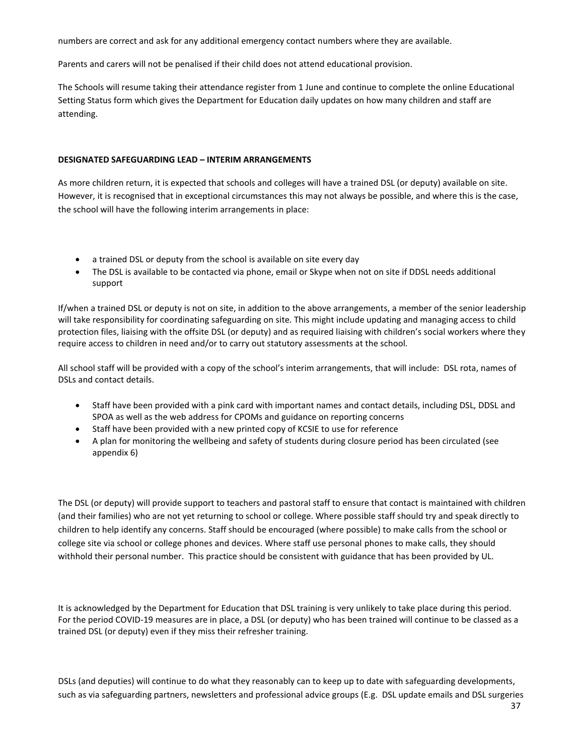numbers are correct and ask for any additional emergency contact numbers where they are available.

Parents and carers will not be penalised if their child does not attend educational provision.

The Schools will resume taking their attendance register from 1 June and continue to complete the online Educational Setting Status form which gives the Department for Education daily updates on how many children and staff are attending.

#### **DESIGNATED SAFEGUARDING LEAD – INTERIM ARRANGEMENTS**

As more children return, it is expected that schools and colleges will have a trained DSL (or deputy) available on site. However, it is recognised that in exceptional circumstances this may not always be possible, and where this is the case, the school will have the following interim arrangements in place:

- a trained DSL or deputy from the school is available on site every day
- The DSL is available to be contacted via phone, email or Skype when not on site if DDSL needs additional support

If/when a trained DSL or deputy is not on site, in addition to the above arrangements, a member of the senior leadership will take responsibility for coordinating safeguarding on site. This might include updating and managing access to child protection files, liaising with the offsite DSL (or deputy) and as required liaising with children's social workers where they require access to children in need and/or to carry out statutory assessments at the school.

All school staff will be provided with a copy of the school's interim arrangements, that will include: DSL rota, names of DSLs and contact details.

- Staff have been provided with a pink card with important names and contact details, including DSL, DDSL and SPOA as well as the web address for CPOMs and guidance on reporting concerns
- Staff have been provided with a new printed copy of KCSIE to use for reference
- A plan for monitoring the wellbeing and safety of students during closure period has been circulated (see appendix 6)

The DSL (or deputy) will provide support to teachers and pastoral staff to ensure that contact is maintained with children (and their families) who are not yet returning to school or college. Where possible staff should try and speak directly to children to help identify any concerns. Staff should be encouraged (where possible) to make calls from the school or college site via school or college phones and devices. Where staff use personal phones to make calls, they should withhold their personal number. This practice should be consistent with guidance that has been provided by UL.

It is acknowledged by the Department for Education that DSL training is very unlikely to take place during this period. For the period COVID-19 measures are in place, a DSL (or deputy) who has been trained will continue to be classed as a trained DSL (or deputy) even if they miss their refresher training.

DSLs (and deputies) will continue to do what they reasonably can to keep up to date with safeguarding developments, such as via safeguarding partners, newsletters and professional advice groups (E.g. DSL update emails and DSL surgeries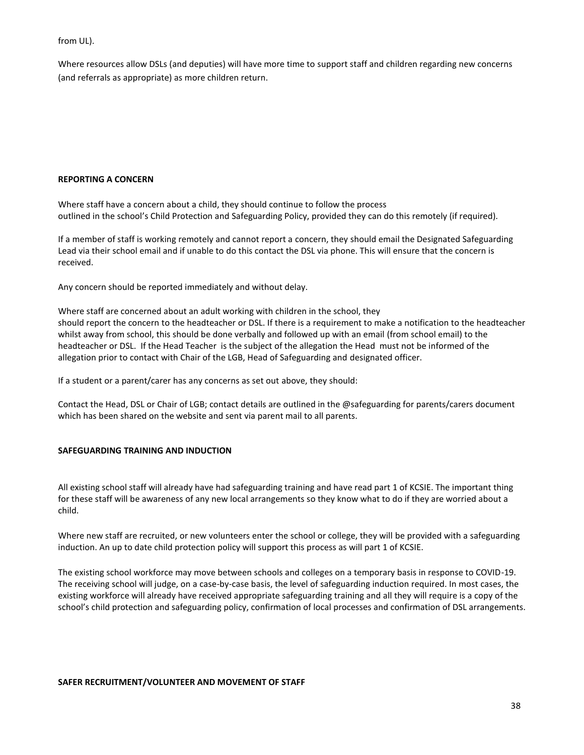#### from UL).

Where resources allow DSLs (and deputies) will have more time to support staff and children regarding new concerns (and referrals as appropriate) as more children return.

#### **REPORTING A CONCERN**

Where staff have a concern about a child, they should continue to follow the process outlined in the school's Child Protection and Safeguarding Policy, provided they can do this remotely (if required).

If a member of staff is working remotely and cannot report a concern, they should email the Designated Safeguarding Lead via their school email and if unable to do this contact the DSL via phone. This will ensure that the concern is received.

Any concern should be reported immediately and without delay.

Where staff are concerned about an adult working with children in the school, they should report the concern to the headteacher or DSL. If there is a requirement to make a notification to the headteacher whilst away from school, this should be done verbally and followed up with an email (from school email) to the headteacher or DSL. If the Head Teacher is the subject of the allegation the Head must not be informed of the allegation prior to contact with Chair of the LGB, Head of Safeguarding and designated officer.

If a student or a parent/carer has any concerns as set out above, they should:

Contact the Head, DSL or Chair of LGB; contact details are outlined in the @safeguarding for parents/carers document which has been shared on the website and sent via parent mail to all parents.

#### **SAFEGUARDING TRAINING AND INDUCTION**

All existing school staff will already have had safeguarding training and have read part 1 of KCSIE. The important thing for these staff will be awareness of any new local arrangements so they know what to do if they are worried about a child.

Where new staff are recruited, or new volunteers enter the school or college, they will be provided with a safeguarding induction. An up to date child protection policy will support this process as will part 1 of KCSIE.

The existing school workforce may move between schools and colleges on a temporary basis in response to COVID-19. The receiving school will judge, on a case-by-case basis, the level of safeguarding induction required. In most cases, the existing workforce will already have received appropriate safeguarding training and all they will require is a copy of the school's child protection and safeguarding policy, confirmation of local processes and confirmation of DSL arrangements.

#### **SAFER RECRUITMENT/VOLUNTEER AND MOVEMENT OF STAFF**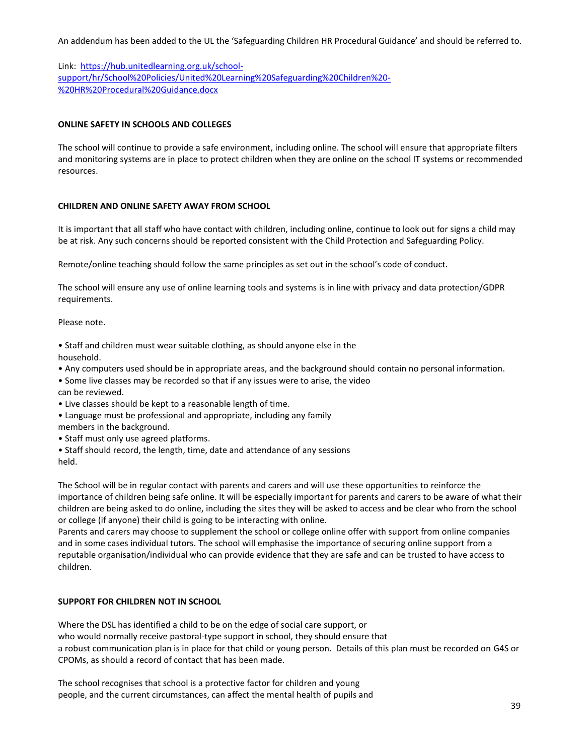An addendum has been added to the UL the 'Safeguarding Children HR Procedural Guidance' and should be referred to.

Link:[https://hub.unitedlearning.org.uk/school](https://eur03.safelinks.protection.outlook.com/?url=https%3A%2F%2Fhub.unitedlearning.org.uk%2Fschool-support%2Fhr%2FSchool%2520Policies%2FUnited%2520Learning%2520Safeguarding%2520Children%2520-%2520HR%2520Procedural%2520Guidance.docx&data=02%7C01%7C%7Cb2e54e0fa2f04ef38ad508d7d4b26212%7Ca4d068aa090e4f55a950b1b95cea1c6b%7C0%7C0%7C637211734919016257&sdata=Dv%2FTHQJkiNTPD4xlZCSMNT%2Foxh%2BdQhYWA1lgLwif4ZM%3D&reserved=0)[support/hr/School%20Policies/United%20Learning%20Safeguarding%20Children%20-](https://eur03.safelinks.protection.outlook.com/?url=https%3A%2F%2Fhub.unitedlearning.org.uk%2Fschool-support%2Fhr%2FSchool%2520Policies%2FUnited%2520Learning%2520Safeguarding%2520Children%2520-%2520HR%2520Procedural%2520Guidance.docx&data=02%7C01%7C%7Cb2e54e0fa2f04ef38ad508d7d4b26212%7Ca4d068aa090e4f55a950b1b95cea1c6b%7C0%7C0%7C637211734919016257&sdata=Dv%2FTHQJkiNTPD4xlZCSMNT%2Foxh%2BdQhYWA1lgLwif4ZM%3D&reserved=0) [%20HR%20Procedural%20Guidance.docx](https://eur03.safelinks.protection.outlook.com/?url=https%3A%2F%2Fhub.unitedlearning.org.uk%2Fschool-support%2Fhr%2FSchool%2520Policies%2FUnited%2520Learning%2520Safeguarding%2520Children%2520-%2520HR%2520Procedural%2520Guidance.docx&data=02%7C01%7C%7Cb2e54e0fa2f04ef38ad508d7d4b26212%7Ca4d068aa090e4f55a950b1b95cea1c6b%7C0%7C0%7C637211734919016257&sdata=Dv%2FTHQJkiNTPD4xlZCSMNT%2Foxh%2BdQhYWA1lgLwif4ZM%3D&reserved=0)

#### **ONLINE SAFETY IN SCHOOLS AND COLLEGES**

The school will continue to provide a safe environment, including online. The school will ensure that appropriate filters and monitoring systems are in place to protect children when they are online on the school IT systems or recommended resources.

#### **CHILDREN AND ONLINE SAFETY AWAY FROM SCHOOL**

It is important that all staff who have contact with children, including online, continue to look out for signs a child may be at risk. Any such concerns should be reported consistent with the Child Protection and Safeguarding Policy.

Remote/online teaching should follow the same principles as set out in the school's code of conduct.

The school will ensure any use of online learning tools and systems is in line with privacy and data protection/GDPR requirements.

Please note.

• Staff and children must wear suitable clothing, as should anyone else in the household.

- Any computers used should be in appropriate areas, and the background should contain no personal information.
- Some live classes may be recorded so that if any issues were to arise, the video can be reviewed.
- Live classes should be kept to a reasonable length of time.
- Language must be professional and appropriate, including any family
- members in the background.
- Staff must only use agreed platforms.
- Staff should record, the length, time, date and attendance of any sessions held.

The School will be in regular contact with parents and carers and will use these opportunities to reinforce the importance of children being safe online. It will be especially important for parents and carers to be aware of what their children are being asked to do online, including the sites they will be asked to access and be clear who from the school or college (if anyone) their child is going to be interacting with online.

Parents and carers may choose to supplement the school or college online offer with support from online companies and in some cases individual tutors. The school will emphasise the importance of securing online support from a reputable organisation/individual who can provide evidence that they are safe and can be trusted to have access to children.

#### **SUPPORT FOR CHILDREN NOT IN SCHOOL**

Where the DSL has identified a child to be on the edge of social care support, or who would normally receive pastoral-type support in school, they should ensure that a robust communication plan is in place for that child or young person. Details of this plan must be recorded on G4S or CPOMs, as should a record of contact that has been made.

The school recognises that school is a protective factor for children and young people, and the current circumstances, can affect the mental health of pupils and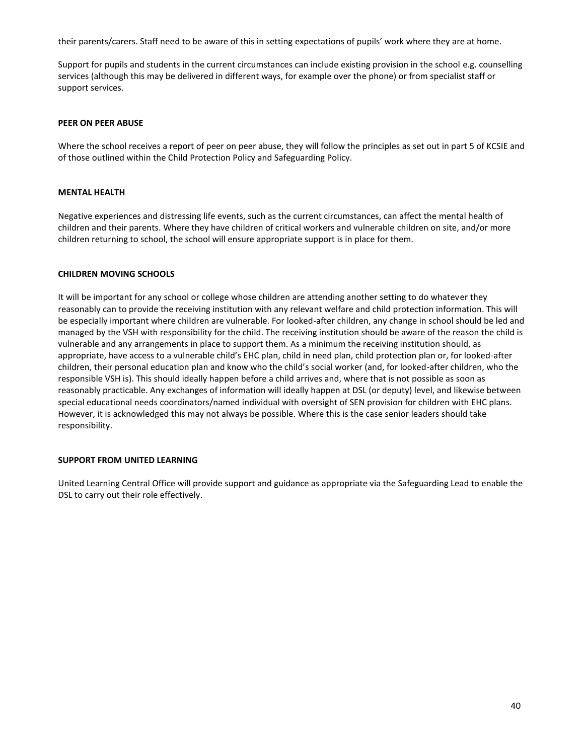their parents/carers. Staff need to be aware of this in setting expectations of pupils' work where they are at home.

Support for pupils and students in the current circumstances can include existing provision in the school e.g. counselling services (although this may be delivered in different ways, for example over the phone) or from specialist staff or support services.

#### **PEER ON PEER ABUSE**

Where the school receives a report of peer on peer abuse, they will follow the principles as set out in part 5 of KCSIE and of those outlined within the Child Protection Policy and Safeguarding Policy.

#### **MENTAL HEALTH**

Negative experiences and distressing life events, such as the current circumstances, can affect the mental health of children and their parents. Where they have children of critical workers and vulnerable children on site, and/or more children returning to school, the school will ensure appropriate support is in place for them.

#### **CHILDREN MOVING SCHOOLS**

It will be important for any school or college whose children are attending another setting to do whatever they reasonably can to provide the receiving institution with any relevant welfare and child protection information. This will be especially important where children are vulnerable. For looked-after children, any change in school should be led and managed by the VSH with responsibility for the child. The receiving institution should be aware of the reason the child is vulnerable and any arrangements in place to support them. As a minimum the receiving institution should, as appropriate, have access to a vulnerable child's EHC plan, child in need plan, child protection plan or, for looked-after children, their personal education plan and know who the child's social worker (and, for looked-after children, who the responsible VSH is). This should ideally happen before a child arrives and, where that is not possible as soon as reasonably practicable. Any exchanges of information will ideally happen at DSL (or deputy) level, and likewise between special educational needs coordinators/named individual with oversight of SEN provision for children with EHC plans. However, it is acknowledged this may not always be possible. Where this is the case senior leaders should take responsibility.

#### **SUPPORT FROM UNITED LEARNING**

United Learning Central Office will provide support and guidance as appropriate via the Safeguarding Lead to enable the DSL to carry out their role effectively.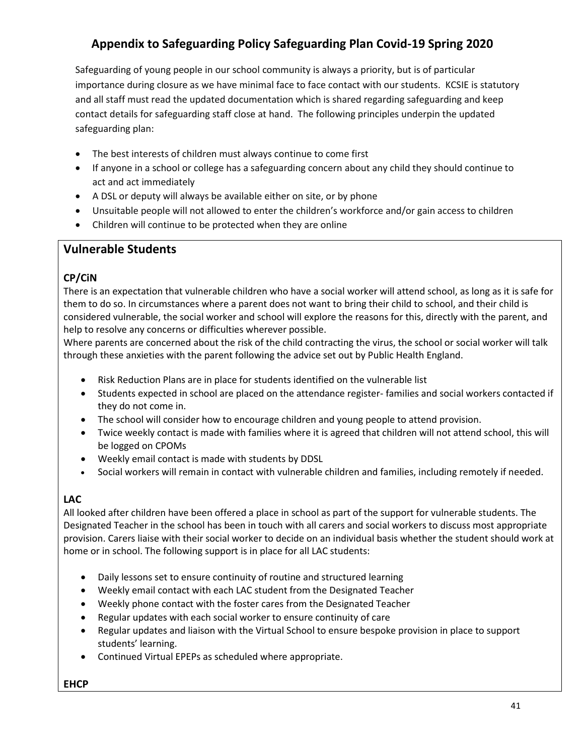## **Appendix to Safeguarding Policy Safeguarding Plan Covid-19 Spring 2020**

Safeguarding of young people in our school community is always a priority, but is of particular importance during closure as we have minimal face to face contact with our students. KCSIE is statutory and all staff must read the updated documentation which is shared regarding safeguarding and keep contact details for safeguarding staff close at hand. The following principles underpin the updated safeguarding plan:

- The best interests of children must always continue to come first
- If anyone in a school or college has a safeguarding concern about any child they should continue to act and act immediately
- A DSL or deputy will always be available either on site, or by phone
- Unsuitable people will not allowed to enter the children's workforce and/or gain access to children
- Children will continue to be protected when they are online

## **Vulnerable Students**

## **CP/CiN**

There is an expectation that vulnerable children who have a social worker will attend school, as long as it is safe for them to do so. In circumstances where a parent does not want to bring their child to school, and their child is considered vulnerable, the social worker and school will explore the reasons for this, directly with the parent, and help to resolve any concerns or difficulties wherever possible.

Where parents are concerned about the risk of the child contracting the virus, the school or social worker will talk through these anxieties with the parent following the advice set out by Public Health England.

- Risk Reduction Plans are in place for students identified on the vulnerable list
- Students expected in school are placed on the attendance register- families and social workers contacted if they do not come in.
- The school will consider how to encourage children and young people to attend provision.
- Twice weekly contact is made with families where it is agreed that children will not attend school, this will be logged on CPOMs
- Weekly email contact is made with students by DDSL
- Social workers will remain in contact with vulnerable children and families, including remotely if needed.

## **LAC**

All looked after children have been offered a place in school as part of the support for vulnerable students. The Designated Teacher in the school has been in touch with all carers and social workers to discuss most appropriate provision. Carers liaise with their social worker to decide on an individual basis whether the student should work at home or in school. The following support is in place for all LAC students:

- Daily lessons set to ensure continuity of routine and structured learning
- Weekly email contact with each LAC student from the Designated Teacher
- Weekly phone contact with the foster cares from the Designated Teacher
- Regular updates with each social worker to ensure continuity of care
- Regular updates and liaison with the Virtual School to ensure bespoke provision in place to support students' learning.
- Continued Virtual EPEPs as scheduled where appropriate.

#### **EHCP**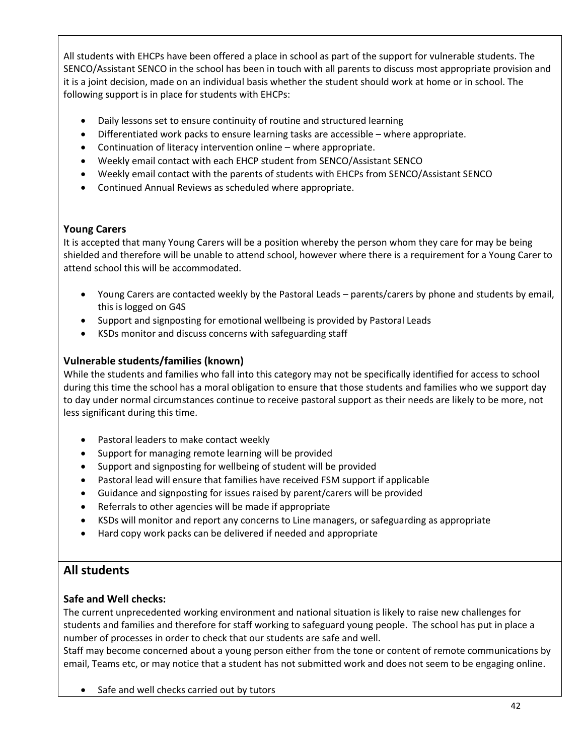All students with EHCPs have been offered a place in school as part of the support for vulnerable students. The SENCO/Assistant SENCO in the school has been in touch with all parents to discuss most appropriate provision and it is a joint decision, made on an individual basis whether the student should work at home or in school. The following support is in place for students with EHCPs:

- Daily lessons set to ensure continuity of routine and structured learning
- Differentiated work packs to ensure learning tasks are accessible where appropriate.
- Continuation of literacy intervention online where appropriate.
- Weekly email contact with each EHCP student from SENCO/Assistant SENCO
- Weekly email contact with the parents of students with EHCPs from SENCO/Assistant SENCO
- Continued Annual Reviews as scheduled where appropriate.

## **Young Carers**

It is accepted that many Young Carers will be a position whereby the person whom they care for may be being shielded and therefore will be unable to attend school, however where there is a requirement for a Young Carer to attend school this will be accommodated.

- Young Carers are contacted weekly by the Pastoral Leads parents/carers by phone and students by email, this is logged on G4S
- Support and signposting for emotional wellbeing is provided by Pastoral Leads
- KSDs monitor and discuss concerns with safeguarding staff

## **Vulnerable students/families (known)**

While the students and families who fall into this category may not be specifically identified for access to school during this time the school has a moral obligation to ensure that those students and families who we support day to day under normal circumstances continue to receive pastoral support as their needs are likely to be more, not less significant during this time.

- Pastoral leaders to make contact weekly
- Support for managing remote learning will be provided
- Support and signposting for wellbeing of student will be provided
- Pastoral lead will ensure that families have received FSM support if applicable
- Guidance and signposting for issues raised by parent/carers will be provided
- Referrals to other agencies will be made if appropriate
- KSDs will monitor and report any concerns to Line managers, or safeguarding as appropriate
- Hard copy work packs can be delivered if needed and appropriate

## **All students**

## **Safe and Well checks:**

The current unprecedented working environment and national situation is likely to raise new challenges for students and families and therefore for staff working to safeguard young people. The school has put in place a number of processes in order to check that our students are safe and well.

Staff may become concerned about a young person either from the tone or content of remote communications by email, Teams etc, or may notice that a student has not submitted work and does not seem to be engaging online.

• Safe and well checks carried out by tutors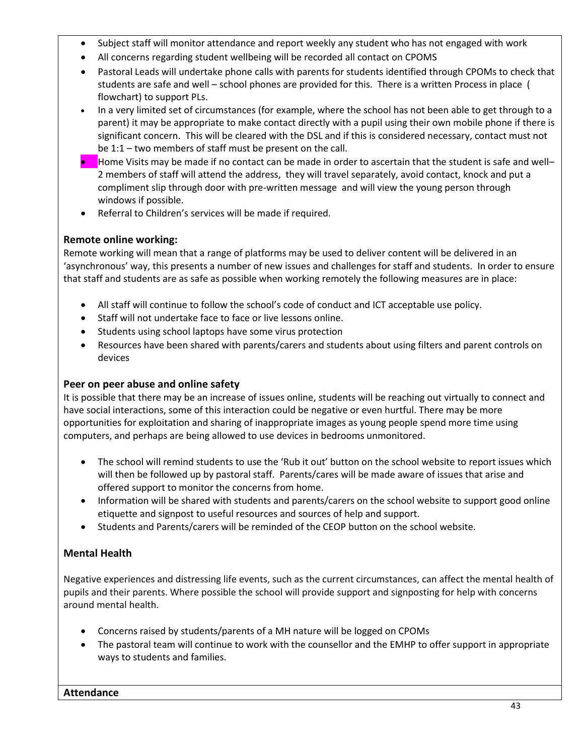- Subject staff will monitor attendance and report weekly any student who has not engaged with work
- All concerns regarding student wellbeing will be recorded all contact on CPOMS
- Pastoral Leads will undertake phone calls with parents for students identified through CPOMs to check that students are safe and well – school phones are provided for this. There is a written Process in place ( flowchart) to support PLs.
- In a very limited set of circumstances (for example, where the school has not been able to get through to a parent) it may be appropriate to make contact directly with a pupil using their own mobile phone if there is significant concern. This will be cleared with the DSL and if this is considered necessary, contact must not be 1:1 – two members of staff must be present on the call.
- Home Visits may be made if no contact can be made in order to ascertain that the student is safe and well– 2 members of staff will attend the address, they will travel separately, avoid contact, knock and put a compliment slip through door with pre-written message and will view the young person through windows if possible.
- Referral to Children's services will be made if required.

## **Remote online working:**

Remote working will mean that a range of platforms may be used to deliver content will be delivered in an 'asynchronous' way, this presents a number of new issues and challenges for staff and students. In order to ensure that staff and students are as safe as possible when working remotely the following measures are in place:

- All staff will continue to follow the school's code of conduct and ICT acceptable use policy.
- Staff will not undertake face to face or live lessons online.
- Students using school laptops have some virus protection
- Resources have been shared with parents/carers and students about using filters and parent controls on devices

## **Peer on peer abuse and online safety**

It is possible that there may be an increase of issues online, students will be reaching out virtually to connect and have social interactions, some of this interaction could be negative or even hurtful. There may be more opportunities for exploitation and sharing of inappropriate images as young people spend more time using computers, and perhaps are being allowed to use devices in bedrooms unmonitored.

- The school will remind students to use the 'Rub it out' button on the school website to report issues which will then be followed up by pastoral staff. Parents/cares will be made aware of issues that arise and offered support to monitor the concerns from home.
- Information will be shared with students and parents/carers on the school website to support good online etiquette and signpost to useful resources and sources of help and support.
- Students and Parents/carers will be reminded of the CEOP button on the school website.

## **Mental Health**

Negative experiences and distressing life events, such as the current circumstances, can affect the mental health of pupils and their parents. Where possible the school will provide support and signposting for help with concerns around mental health.

- Concerns raised by students/parents of a MH nature will be logged on CPOMs
- The pastoral team will continue to work with the counsellor and the EMHP to offer support in appropriate ways to students and families.